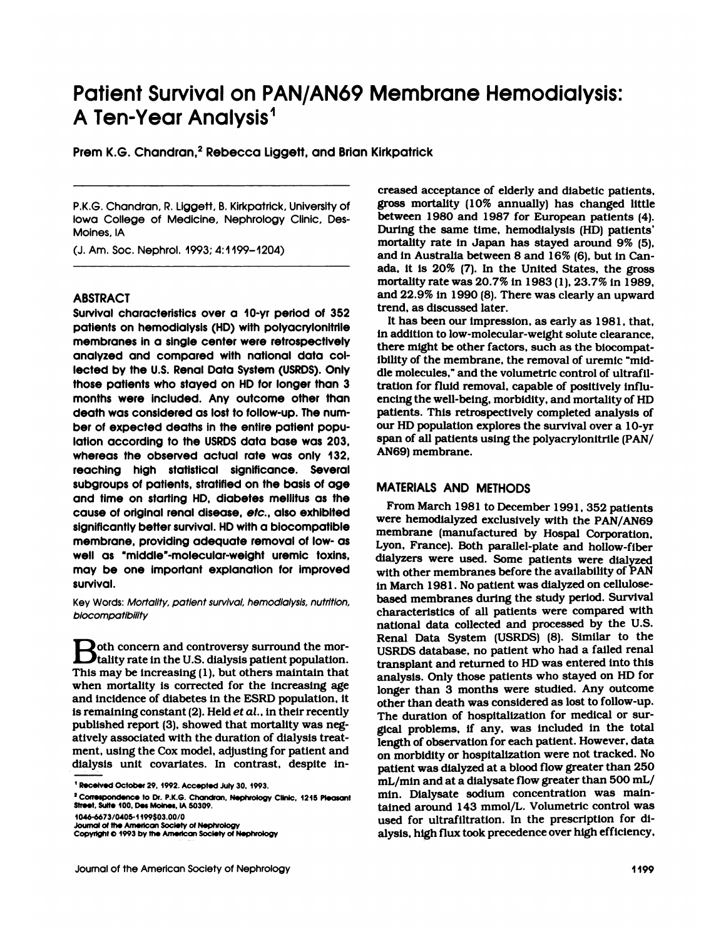# **Patient Survival on PAN/AN69 Membrane Hemodialysis: Patient Survival on PAN/AN<br>A Ten-Year Analysis<sup>1</sup><br>Prem K.G. Chandran <sup>2</sup> Rebecca Liggett, and** Patient Survival on PAN/AN69 Membro<br>A Ten-Year Analysis<sup>1</sup><br>Prem K.G. Chandran,<sup>2</sup> Rebecca Liggett, and Brian Kirkpatrick

P.K.G. Chandran, P. Liggett, B. Kirkpatrick, University of **Iowa<br>P.K.G. Chandran, R. Liggett, B. Kirkpatrick, University of**<br>Iowa College of Medicine, Nephrology Clinic, Des-<br>Moines, IA Moines, IA N.K.G. Chandran, R. Liggett, B. Kirkpatrick, Unito College of Medicine, Nephrology Cli<br>Moines, IA<br>(J. Am. Soc. Nephrol. 1993; 4:1199–1204)<br>——————————————————————————————————

### ABSTRACT

a<br>
MABSTRACT<br>
Survival characteristics over a 10-yr period of 352<br>
patients on hemodialysis (HD) with polyacrylonitrile<br>
membranes in a single center were retrospectively ABSTRACT<br>Survival characteristics over a 10-yr period of 352<br>patients on hemodialysis (HD) with polyacrylonitrile<br>membranes in a single center were retrospectively<br>analyzed and compared with national data col-ABSTRACT<br>Survival characteristics over a 10-yr period of 352<br>patients on hemodialysis (HD) with polyacrylonitrile<br>membranes in a single center were retrospectively<br>analyzed and compared with national data col-<br>lected by th Survival characteristics over a 10-yr period of 352<br>patients on hemodialysis (HD) with polyacrylonitrile<br>membranes in a single center were retrospectively<br>analyzed and compared with national data col-<br>lected by the U.S. Re patients on hemodialysis (HD) with polyacrylonitrile<br>membranes in a single center were retrospectively<br>those patients who stayed on HD for longer than 3<br>those patients who stayed on HD for longer than 3<br>months were include membranes in a single center were retrospectively<br>analyzed and compared with national data collected by the U.S. Renal Data System (USRDS). Only<br>those patients who stayed on HD for longer than 3 tr<br>months were included. An analyzed and compared with national data collected by the U.S. Renal Data System (USRDS). Only<br>those patients who stayed on HD for longer than 3<br>months were included. Any outcome other than<br>death was considered as lost to lected by the U.S. Renal Data System (USRDS). On<br>those patients who stayed on HD for longer than<br>months were included. Any outcome other tha<br>death was considered as lost to follow-up. The nun<br>ber of expected deaths in the those patients who stayed on HD for longer than 3<br>months were included. Any outcome other than<br>death was considered as lost to follow-up. The num-<br>ber of expected deaths in the entire patient popu-<br>lation according to the months were included. Any outcome other than<br>death was considered as lost to follow-up. The num-<br>ber of expected deaths in the entire patient popu-<br>lation according to the USRDS data base was 203,<br>whereas the observed actu death was considered as lost to follow-up. The number of expected deaths in the entire patient population according to the USRDS data base was 203, whereas the observed actual rate was only 132, reaching high statistical s ber of expected deaths in the entire patient population according to the USRDS data base was 203, signifierent stratified on the basis of age and time on starting HD, diabetes mellitus as the lation according to the USRDS data base was 203, sp<br>whereas the observed actual rate was only 132, Ali<br>reaching high statistical significance. Several<br>subgroups of patients, stratified on the basis of age M<br>and time on sta whereas the observed actual rate was only 132,<br>reaching high statistical significance. Several<br>subgroups of patients, stratified on the basis of age<br>and time on starting HD, diabetes mellitus as the<br>cause of original renal subgroups of patients, stratified on the basis of age<br>and time on starting HD, diabetes mellitus as the<br>cause of original renal disease, *etc.*, also exhibited<br>significantly better survival. HD with a biocompatible<br>membran subgroups of patients, stratified on the basis of age<br>and time on starting HD, diabetes mellitus as the<br>cause of original renal disease, *etc*., also exhibited<br>significantly better survival. HD with a biocompatible<br>membra and time on starting HD, diabetes mellitus as the<br>cause of original renal disease, *etc*., also exhibited<br>significantly better survival. HD with a biocompatible<br>membrane, providing adequate removal of low- as<br>well as "midd cause of original renal disease, *etc*., also exhibited<br>significantly better survival. HD with a biocompatible<br>membrane, providing adequate removal of low- as<br>well as "middle"-molecular-weight uremic toxins,<br>may be one imp survival. well as "middle"-molecular-weight uremic toxins,<br>may be one important explanation for improved<br>survival.<br>Key Words: *Mortality, patient survival, hemodialysis, nutrition,*<br>*biocompatibility* 

biocompatibility

**B** Nords: *Mortality, patient survival, hemodialysis, nutritiol*<br>*Biocompatibility*<br>**B** oth concern and controversy surround the mortality rate in the U.S. dialysis patient population the Monday, patient survival, herifodialysis, huminompatibility.<br>The unit of the U.S. dialysis patient population.<br>The U.S. dialysis patient population.  $\sum$  oth concern and controversy surround the mortality rate in the U.S. dialysis patient population.<br>This may be increasing (1), but others maintain that when mortality is corrected for the increasing age **Example 15** oth concern and controversy surround the mortality rate in the U.S. dialysis patient population.<br>This may be increasing (1), but others maintain that when mortality is corrected for the increasing age and inci **A** be the concern and controversy surround the mortality rate in the U.S. dialysis patient population.<br>This may be increasing (1), but others maintain that when mortality is corrected for the increasing age and incidence **Let the U.S. dialysis patient population.**<br>This may be increasing (1), but others maintain that<br>when mortality is corrected for the increasing age<br>and incidence of diabetes in the ESRD population, it<br>is remaining constant This may be increasing (1), but others maintain that when mortality is corrected for the increasing age and incidence of diabetes in the ESRD population, it is remaining constant (2). Held *et al.*, in their recently publ when mortality is corrected for the increasing a<br>and incidence of diabetes in the ESRD population,<br>is remaining constant (2). Held *et al.*, in their recent<br>published report (3), showed that mortality was ne<br>atively assoc and incidence of diabetes in the ESRD population, it<br>is remaining constant (2). Held *et al.*, in their recently<br>published report (3), showed that mortality was neg-<br>atively associated with the duration of dialysis treat-<br> is remaining constant (2). Held *et al.*, in their recently<br>published report (3), showed that mortality was neg-<br>attvely associated with the duration of dialysis treat-<br>ment, using the Cox model, adjusting for patient and **III Received October 29. 1992. Accepted July 30. 1993.**<br> **I** Received October 29, 1992. Accepted July 30, 1993.<br> **<sup>2</sup>** Correspondence to Dr. P.K.G. Chandran, Nephrology Clinic, 1215 Pleasant<br> **3** Correspondence to Dr. P.K

Prem K.G. Chandran,<sup>2</sup> Rebecca Liggett, and Brian Kirkpatrick<br>
creased acceptance of elderly and diabetic patients,<br>
PKG Chandran P Liggett B Kirkpatrick University of **gross mortality** (10% annually) has changed little irkpatrick<br>creased acceptance of elderly and diabetic patients,<br>gross mortality (10% annually) has changed little<br>between 1980 and 1987 for European patients (4). creased acceptance of elderly and diabetic patients,<br>gross mortality (10% annually) has changed little<br>between 1980 and 1987 for European patients (4).<br>During the same time, hemodialysis (HD) patients' creased acceptance of elderly and diabetic patients,<br>gross mortality (10% annually) has changed little<br>between 1980 and 1987 for European patients (4).<br>During the same time, hemodialysis (HD) patients'<br>mortality rate in Ja creased acceptance of elderly and diabetic patients,<br>gross mortality (10% annually) has changed little<br>between 1980 and 1987 for European patients (4).<br>During the same time, hemodialysis (HD) patients<br>mortality rate in Jap gross mortality (10% annually) has changed littl<br>between 1980 and 1987 for European patients (4<br>During the same time, hemodialysis (HD) patients<br>mortality rate in Japan has stayed around 9% (5<br>and in Australia between 8 an between 1980 and 1987 for European patients (4).<br>During the same time, hemodialysis (HD) patients'<br>mortality rate in Japan has stayed around 9% (5),<br>and in Australia between 8 and 16% (6), but in Can-<br>ada, it is 20% (7). I During the same time, hemodialysis (HD) patients'<br>mortality rate in Japan has stayed around 9% (5),<br>and in Australia between 8 and 16% (6), but in Can-<br>ada, it is 20% (7). In the United States, the gross<br>mortality rate was mortality rate in Japan has stayed around 9% (5), and in Australia between 8 and  $16\%$  (6), but in Canada, it is  $20\%$  (7). In the United States, the gross mortality rate was  $20.7\%$  in  $1983$  (1),  $23.7\%$  in  $1989$ , mortality rate was 20.7% in 1983 (1), 23.7% in 1989, la, it is  $20\%$  (7). In the United States, the gross ortality rate was  $20.7\%$  in  $1983$  (1),  $23.7\%$  in  $1989$ , nd  $22.9\%$  in  $1990$  (8). There was clearly an upward end, as discussed later.<br>It has been our impressio

mortality rate was 20.7% in 1983 (1), 23.7% in 1989<br>and 22.9% in 1990 (8). There was clearly an upwar<br>trend, as discussed later.<br>It has been our impression, as early as 1981, tha<br>in addition to low-molecular-weight solute and 22.9% in 1990 (8). There was clearly an up<br>trend, as discussed later.<br>It has been our impression, as early as 1981,<br>in addition to low-molecular-weight solute cleara<br>there might be other factors, such as the biocon<br>ibi trend, as discussed later.<br>It has been our impression, as early as 1981, that<br>in addition to low-molecular-weight solute clearance<br>there might be other factors, such as the biocompa<br>ibility of the membrane, the removal of It has been our impression, as early as 1981, the via didition to low-molecular-weight solute clearar<br>there might be other factors, such as the biocompibility of the membrane, the removal of uremic "n<br>dle molecules," and t in addition to low-molecular-weight solute clearance<br>there might be other factors, such as the biocompa<br>ibility of the membrane, the removal of uremic "mi<br>dle molecules," and the volumetric control of ultraf<br>tration for fl there might be other factors, such as the biocompat-<br>ibility of the membrane, the removal of uremic "mid-<br>dle molecules," and the volumetric control of ultrafil-<br>tration for fluid removal, capable of positively influ-<br>enci ibility of the membrane, the removal of uremic "mid-<br>dle molecules," and the volumetric control of ultrafil-<br>tration for fluid removal, capable of positively influ-<br>encing the well-being, morbidity, and mortality of HD<br>pat tration for fluid removal, capable of positively influ-<br>encing the well-being, morbidity, and mortality of HD<br>patients. This retrospectively completed analysis of<br>our HD population explores the survival over a 10-yr<br>span o encing the well-being, morbidity, and mortality of HD<br>patients. This retrospectively completed analysis of<br>our HD population explores the survival over a 10-yr<br>span of all patients using the polyacrylonitrile (PAN/<br>AN69) m

Alexandro 199803.0070 used for ultrafiltration. In the prescription for di-<br>Doumal of the American Society of Nephrology<br>Journal of the American Society of Nephrology<br>Journal of the American Society of Nephrology<br>Alexandro MATERIALS AND METHODS<br>From March 1981 to December 1991, 352 patients N69) membrane.<br>ATERIALS AND METHODS<br>From March 1981 to December 1991, 352 patients<br>ere hemodialyzed exclusively with the PAN/AN69 MATERIALS AND METHODS<br>From March 1981 to December 1991, 352 patients<br>were hemodialyzed exclusively with the PAN/AN69<br>membrane (manufactured by Hospal Corporation, MATERIALS AND METHODS<br>From March 1981 to December 1991, 352 patien<br>were hemodialyzed exclusively with the PAN/AN<br>membrane (manufactured by Hospal Corporatio<br>Lyon, France). Both parallel-plate and hollow-fib MATERIALS AND METHODS<br>From March 1981 to December 1991, 352 patients<br>were hemodialyzed exclusively with the PAN/AN69<br>membrane (manufactured by Hospal Corporation<br>Lyon, France). Both parallel-plate and hollow-fiber<br>dialyzer From March 1981 to December 1991, 352 patients<br>were hemodialyzed exclusively with the PAN/AN69<br>membrane (manufactured by Hospal Corporation,<br>Lyon, France). Both parallel-plate and hollow-fiber<br>dialyzers were used. Some pat were hemodialyzed exclusively with the PAN/AN69<br>membrane (manufactured by Hospal Corporation,<br>Lyon, France). Both parallel-plate and hollow-fiber<br>dialyzers were used. Some patients were dialyzed<br>with other membranes before membrane (manufactured by Hospal Corporat<br>Lyon, France). Both parallel-plate and hollow-f<br>dialyzers were used. Some patients were dialy<br>with other membranes before the availability of l<br>in March 1981. No patient was dialyz Lyon, France). Both parallel-plate and hollow-fiber<br>dialyzers were used. Some patients were dialyzed<br>with other membranes before the availability of PAN<br>in March 1981. No patient was dialyzed on cellulose-<br>based membranes with other membranes before the availability of PAN<br>in March 1981. No patient was dialyzed on cellulose-<br>based membranes during the study period. Survival<br>characteristics of all patients were compared with<br>national data co with other membranes before the availability of PAN<br>in March 1981. No patient was dialyzed on cellulose-<br>based membranes during the study period. Survival<br>characteristics of all patients were compared with<br>national data co in March 1981. No patient was dialyzed on cellulose-<br>based membranes during the study period. Survival<br>characteristics of all patients were compared with<br>national data collected and processed by the U.S.<br>Renal Data System based membranes during the study period. Survival<br>characteristics of all patients were compared with<br>national data collected and processed by the U.S.<br>Renal Data System (USRDS) (8). Similar to the<br>USRDS database, no patien characteristics of all patients were compared with<br>national data collected and processed by the U.S.<br>Renal Data System (USRDS) (8). Similar to the<br>USRDS database, no patient who had a failed renal<br>transplant and returned t national data collected and processed by the U.S.<br>Renal Data System (USRDS) (8). Similar to the<br>USRDS database, no patient who had a failed renal<br>transplant and returned to HD was entered into this<br>analysis. Only those pat Renal Data System (USRDS) (8). Similar to the<br>USRDS database, no patient who had a failed renal<br>transplant and returned to HD was entered into this<br>analysis. Only those patients who stayed on HD for<br>longer than 3 months we USRDS database, no patient who had a failed renatransplant and returned to HD was entered into this analysis. Only those patients who stayed on HD folonger than 3 months were studied. Any outcome other than death was consi transplant and returned to HD was entered into this<br>analysis. Only those patients who stayed on HD for<br>longer than 3 months were studied. Any outcome<br>other than death was considered as lost to follow-up<br>The duration of hos analysis. Only those patients who stayed on HD for<br>longer than 3 months were studied. Any outcome<br>other than death was considered as lost to follow-up.<br>The duration of hospitalization for medical or sur-<br>gical problems, if other than death was considered as lost to follow-up.<br>The duration of hospitalization for medical or surgical problems, if any, was included in the total<br>length of observation for each patient. However, data<br>on morbidity o The duration of hospitalization for medical or surgical problems, if any, was included in the total<br>length of observation for each patient. However, data<br>on morbidity or hospitalization were not tracked. No<br>patient was dia gical problems, if any, was included in the total<br>length of observation for each patient. However, data<br>on morbidity or hospitalization were not tracked. No<br>patient was dialyzed at a blood flow greater than 250<br>mL/min and length of observation for each patient. However, da<br>on morbidity or hospitalization were not tracked. I<br>patient was dialyzed at a blood flow greater than 2!<br>mL/min and at a dialysate flow greater than 500 m<br>min. Dialysate on morbidity or hospitalization were not tracked. No<br>patient was dialyzed at a blood flow greater than 250<br>mL/min and at a dialysate flow greater than 500 mL/<br>min. Dialysate sodium concentration was main-<br>tained around 143 patient was dialyzed at a blood flow greater than 250 mL/min and at a dialysate flow greater than 500 mL/min. Dialysate sodium concentration was maintained around 143 mmol/L. Volumetric control was used for ultrafiltration mL/min and at a dialysate flow greater than 500<br>min. Dialysate sodium concentration was m<br>tained around 143 mmol/L. Volumetric control<br>used for ultrafiltration. In the prescription fo<br>alysis, high flux took precedence over

**Street, 5ulte 100, Designal of the American Society of American Society of American Society of American Society of Nephrology Clink**<br> **Street, Suite 100, Des Moines, IA 50309.**<br> **Journal of the American Society of Nephrol**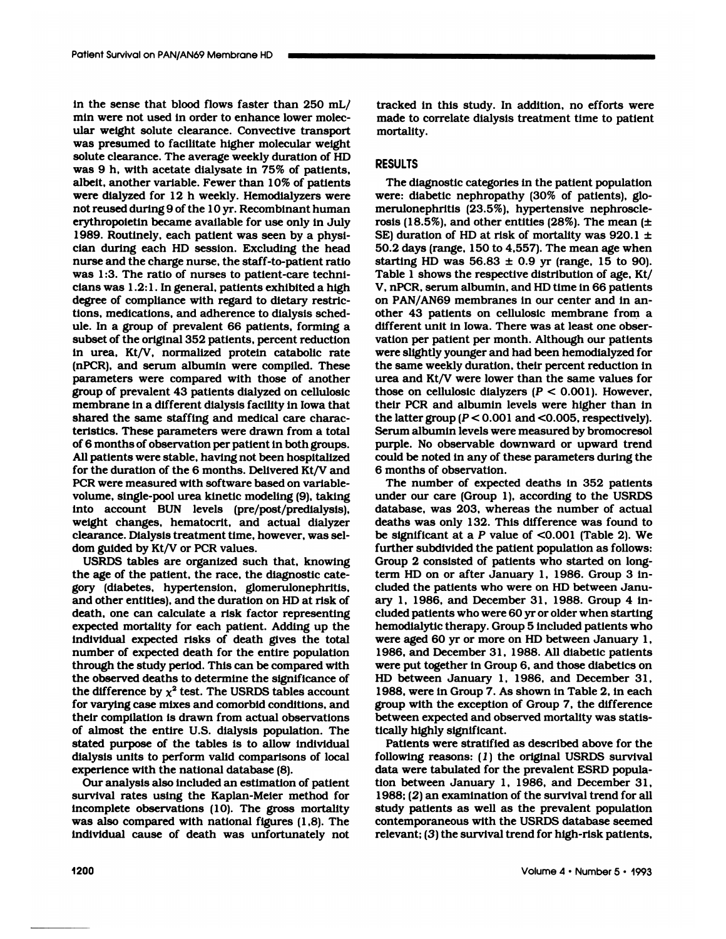in the sense that blood flows faster than 250 mL/<br>min were not used in order to enhance lower molecin the sense that blood flows faster than 250 m<br>min were not used in order to enhance lower mole<br>ular weight solute clearance. Convective transp in the sense that blood flows faster than 250 mL<br>min were not used in order to enhance lower molec<br>ular weight solute clearance. Convective transpor<br>was presumed to facilitate higher molecular weigh in the sense that blood flows faster than 250 mL/<br>min were not used in order to enhance lower molec-<br>ular weight solute clearance. Convective transport<br>was presumed to facilitate higher molecular weight<br>solute clearance. T in the sense that blood flows faster than 250 mL/ trace<br>min were not used in order to enhance lower molec-<br>ular weight solute clearance. Convective transport<br>was presumed to facilitate higher molecular weight<br>solute cleara min were not used in order to enhance lower molecular weight solute clearance. Convective transpor<br>was presumed to facilitate higher molecular weigh<br>solute clearance. The average weekly duration of HI<br>was 9 h, with acetate ular weight solute clearance. Convective transport<br>was presumed to facilitate higher molecular weight<br>solute clearance. The average weekly duration of HD<br>was 9 h, with acetate dialysate in 75% of patients,<br>albeit, another was presumed to facilitate higher molecular weight<br>solute clearance. The average weekly duration of HD<br>was 9 h, with acetate dialysate in 75% of patients,<br>albeit, another variable. Fewer than 10% of patients<br>were dialyzed solute clearance. The average weekly duration of HD<br>was 9 h, with acetate dialysate in 75% of patients,<br>albeit, another variable. Fewer than 10% of patients<br>were dialyzed for 12 h weekly. Hemodialyzers were<br>not reused duri was 9 h, with acetate dialysate in 75% of patients,<br>albeit, another variable. Fewer than 10% of patients<br>were dialyzed for 12 h weekly. Hemodialyzers were<br>not reused during 9 of the 10 yr. Recombinant human<br>erythropoietin albeit, another variable. Fewer than 10% of patient were dialyzed for 12 h weekly. Hemodialyzers we not reused during 9 of the 10 yr. Recombinant hum erythropoietin became available for use only in Jules. Routinely, each p were dialyzed for 12 h weekly. Hemodialyzers were<br>not reused during 9 of the 10 yr. Recombinant human<br>erythropoietin became available for use only in July<br>1989. Routinely, each patient was seen by a physi-<br>cian during each not reused during 9 of the 10 yr. Recombinant human<br>erythropoietin became available for use only in July<br>1989. Routinely, each patient was seen by a physi-<br>cian during each HD session. Excluding the head<br>nurse and the char erythropoietin became available for use only in J<br>1989. Routinely, each patient was seen by a phy<br>cian during each HD session. Excluding the hat<br>nurse and the charge nurse, the staff-to-patient ra<br>was 1:3. The ratio of nur 1989. Routinely, each patient was seen by a physician during each HD session. Excluding the head nurse and the charge nurse, the staff-to-patient ratio was 1:3. The ratio of nurses to patient-care technicians was 1.2:1. In nurse and the charge nurse, the staff-to-patient ratio was 1:3. The ratio of nurses to patient-care technicians was 1.2:1. In general, patients exhibited a high degree of compliance with regard to dietary restrictions, med nurse and the charge nurse, the staff-to-patient ra<br>was 1:3. The ratio of nurses to patient-care tech<br>clans was 1.2:1. In general, patients exhibited a hi<br>degree of compliance with regard to dietary rest<br>tions, medications was 1:3. The ratio of nurses to patient-care technicians was 1.2:1. In general, patients exhibited a high degree of compliance with regard to dietary restrictions, medications, and adherence to dialysis schedule. In a grou cians was 1.2:1. In general, patients exhibited a high degree of compliance with regard to dietary restrictions, medications, and adherence to dialysis schedule. In a group of prevalent 66 patients, forming a subset of the degree of compliance with regard to dietary restrictions, medications, and adherence to dialysis sched-<br>ule. In a group of prevalent 66 patients, forming a<br>subset of the original 352 patients, percent reduction<br>in urea, Kt tions, medications, and adherence to dialysis sched-<br>ule. In a group of prevalent 66 patients, forming a<br>subset of the original 352 patients, percent reduction<br>in urea, Kt/V, normalized protein catabolic rate<br>(nPCR), and s ule. In a group of prevalent 66 patients, forming a<br>subset of the original 352 patients, percent reduction<br>in urea, Kt/V, normalized protein catabolic rate<br>(nPCR), and serum albumin were compiled. These<br>parameters were com subset of the original 352 patients, percent reduction<br>in urea, Kt/V, normalized protein catabolic rate<br>(nPCR), and serum albumin were compiled. These<br>parameters were compared with those of another<br>group of prevalent 43 pa in urea, Kt/V, normalized protein catabolic rate<br>(nPCR), and serum albumin were compiled. These<br>parameters were compared with those of another<br>group of prevalent 43 patients dialyzed on cellulosic<br>membrane in a different (nPCR), and serum albumin were compiled. Th<br>parameters were compared with those of anot<br>group of prevalent 43 patients dialyzed on cellule<br>membrane in a different dialysis facility in Iowa t<br>shared the same staffing and me parameters were compared with those of another<br>group of prevalent 43 patients dialyzed on cellulosic<br>membrane in a different dialysis facility in Iowa that<br>shared the same staffing and medical care charac-<br>teristics. These group of prevalent 43 patients dialyzed on cellulosic<br>membrane in a different dialysis facility in Iowa that<br>shared the same staffing and medical care charac-<br>teristics. These parameters were drawn from a total<br>of 6 months membrane in a different dialysis facility in lowa that<br>shared the same staffing and medical care charac-<br>teristics. These parameters were drawn from a total<br>of 6 months of observation per patient in both groups.<br>All patien shared the same staffing and medical care characteristics. These parameters were drawn from a total<br>of 6 months of observation per patient in both groups.<br>All patients were stable, having not been hospitalized<br>for the dura teristics. These parameters were drawn from a t<br>of 6 months of observation per patient in both grou<br>All patients were stable, having not been hospital<br>for the duration of the 6 months. Delivered Kt/V<br>PCR were measured with of 6 months of observation per patient in both groups.<br>All patients were stable, having not been hospitalized<br>for the duration of the 6 months. Delivered Kt/V and<br>PCR were measured with software based on variable-<br>volume, All patients were stable, having not been hospit<br>for the duration of the 6 months. Delivered Kt/<br>PCR were measured with software based on va<br>volume, single-pool urea kinetic modeling (9), i<br>into account BUN levels (pre/pos for the duration of the 6 months. Delivered Kt/V and<br>PCR were measured with software based on variable-<br>volume, single-pool urea kinetic modeling (9), taking<br>into account BUN levels (pre/post/predialysis),<br>weight changes, PCR were measured with software based on variable-<br>volume, single-pool urea kinetic modeling (9), taking<br>into account BUN levels (pre/post/predialysis),<br>weight changes, hematocrit, and actual dialyzer<br>clearance. Dialysis t into account BUN levels (pre/post/predialysis), weight changes, hematocrit, and actual dialyzer clearance. Dialysis treatment time, however, was sel-<br>dom guided by Kt/V or PCR values.

USRDS tables are organized such that, knowing the age of the patient, the race, the diagnostic cateweight changes, hematocrit, and actual dialyze<br>clearance. Dialysis treatment time, however, was sel<br>dom guided by Kt/V or PCR values.<br>USRDS tables are organized such that, knowin<br>the age of the patient, the race, the diagn clearance. Dialysis treatment time, however, was<br>dom guided by Kt/V or PCR values.<br>USRDS tables are organized such that, know<br>the age of the patient, the race, the diagnostic of<br>gory (diabetes, hypertension, glomeruloneph<br> dom guided by Kt/V or PCR values.<br>USRDS tables are organized such that, knowing<br>the age of the patient, the race, the diagnostic cate-<br>gory (diabetes, hypertension, glomerulonephritis,<br>and other entities), and the duration USRDS tables are organized such that, knowing<br>the age of the patient, the race, the diagnostic cate-<br>gory (diabetes, hypertension, glomerulonephritis,<br>and other entities), and the duration on HD at risk of<br>death, one can c the age of the patient, the race, the diagnostic category (diabetes, hypertension, glomerulonephritis, and other entities), and the duration on HD at risk of death, one can calculate a risk factor representing expected mor gory (diabetes, hypertension, glomerulonephritis,<br>and other entities), and the duration on HD at risk of<br>death, one can calculate a risk factor representing<br>expected mortality for each patient. Adding up the<br>individual exp and other entities), and the duration on HD at risk of<br>death, one can calculate a risk factor representing<br>expected mortality for each patient. Adding up the<br>individual expected risks of death gives the total<br>number of exp death, one can calculate a risk factor representing<br>expected mortality for each patient. Adding up the<br>individual expected risks of death gives the total<br>number of expected death for the entire population<br>through the study expected mortality for each patient. Adding up the<br>individual expected risks of death gives the total<br>number of expected death for the entire population<br>through the study period. This can be compared with<br>the observed dea individual expected risks of death gives the total<br>number of expected death for the entire population<br>through the study period. This can be compared with<br>the observed deaths to determine the significance of<br>the difference number of expected death for the entire population<br>through the study period. This can be compared with<br>the observed deaths to determine the significance of<br>the difference by  $\chi^2$  test. The USRDS tables account<br>for varyi through the study period. This can be compared with<br>the observed deaths to determine the significance of<br>the difference by  $\chi^2$  test. The USRDS tables account<br>for varying case mixes and comorbid conditions, and<br>their co the observed deaths to determine the significance of<br>the difference by  $\chi^2$  test. The USRDS tables account<br>for varying case mixes and comorbid conditions, and<br>their compilation is drawn from actual observations<br>of almos the difference by  $\chi^2$  test. The USRDS tables accoun<br>for varying case mixes and comorbid conditions, and<br>their compilation is drawn from actual observations<br>of almost the entire U.S. dialysis population. The<br>stated purp for varying case mixes and comorbid conditions, and<br>their compilation is drawn from actual observations<br>of almost the entire U.S. dialysis population. The<br>stated purpose of the tables is to allow individual<br>dialysis units their compilation is drawn from actual obse<br>of almost the entire U.S. dialysis populati<br>stated purpose of the tables is to allow in<br>dialysis units to perform valid comparisons<br>experience with the national database (8).<br>Our stated purpose of the tables is to allow individual<br>dialysis units to perform valid comparisons of local<br>experience with the national database (8).<br>Our analysis also included an estimation of patient<br>survival rates using t

was also compared with national figures (1,8). The contemporaneous with the USRDS database seemed<br>individual cause of death was unfortunately not relevant; (3) the survival trend for high-risk patients,<br>1200 Volume  $4 \cdot$  stated purpose of the tables is to allow individual<br>dialysis units to perform valid comparisons of local<br>experience with the national database (8).<br>Our analysis also included an estimation of patient<br>survival rates using t dialysis units to perform valid comparisons of local<br>experience with the national database (8).<br>Our analysis also included an estimation of patient<br>survival rates using the Kaplan-Meier method for<br>incomplete observations ( experience with the national database (8).<br>
Our analysis also included an estimation of patient<br>
survival rates using the Kaplan-Meier method for<br>
incomplete observations (10). The gross mortality<br>
was also compared with n Our analysis also included an estimation of patient<br>survival rates using the Kaplan-Meier method for<br>incomplete observations (10). The gross mortality<br>was also compared with national figures (1,8). The<br>individual cause of

tracked in this study. In addition, no efforts were tracked in this study. In addition, no efforts were<br>made to correlate dialysis treatment time to patient<br>mortality. mortality.

## RESULTS

ortality.<br>:SULTS<br>The diagnostic categories in the patient population<br>ere: diabetic nephropathy (30% of patients), glo-RESULTS<br>The diagnostic categories in the patient population<br>were: diabetic nephropathy (30% of patients), glo-<br>merulonephritis (23.5%), hypertensive nephroscle-RESULTS<br>The diagnostic categories in the patient popula<br>were: diabetic nephropathy (30% of patients),<br>merulonephritis (23.5%), hypertensive nephro<br>rosis (18.5%), and other entities (28%). The mea The diagnostic categories in the patient population<br>were: diabetic nephropathy (30% of patients), glo-<br>merulonephritis (23.5%), hypertensive nephroscle-<br>rosis (18.5%), and other entities (28%). The mean ( $\pm$ <br>SE) duration The diagnostic categories in the patient population<br>were: diabetic nephropathy (30% of patients), glo-<br>merulonephritis (23.5%), hypertensive nephroscle-<br>rosis (18.5%), and other entities (28%). The mean (±<br>SE) duration of were: diabetic nephropathy (30% of patients), glomerulonephritis (23.5%), hypertensive nephrosclerosis (18.5%), and other entities (28%). The mean ( $\pm$ SE) duration of HD at risk of mortality was 920.1  $\pm$ 50.2 days (rang merulonephritis (23.5%), hypertensive nephroscle-<br>rosis (18.5%), and other entities (28%). The mean ( $\pm$ <br>SE) duration of HD at risk of mortality was 920.1  $\pm$ <br>50.2 days (range, 150 to 4,557). The mean age when<br>starting rosis (18.5%), and other entities (28%). The mean  $(\pm$  SE) duration of HD at risk of mortality was 920.1  $\pm$  50.2 days (range, 150 to 4,557). The mean age when starting HD was 56.83  $\pm$  0.9 yr (range, 15 to 90). Table 1 SE) duration of HD at risk of mortality was 920.1  $\pm$  50.2 days (range, 150 to 4,557). The mean age when starting HD was 56.83  $\pm$  0.9 yr (range, 15 to 90). Table 1 shows the respective distribution of age, Kt/V, nPCR, starting HD was 56.83  $\pm$  0.9 yr (range, 15 to 90).<br>Table 1 shows the respective distribution of age, Kt/<br>V, nPCR, serum albumin, and HD time in 66 patients<br>on PAN/AN69 membranes in our center and in an-<br>other 43 patient Table 1 shows the respective distribution of age, I<br>V, nPCR, serum albumin, and HD time in 66 patier<br>on PAN/AN69 membranes in our center and in a<br>other 43 patients on cellulosic membrane from<br>different unit in Iowa. There V, nPCR, serum albumin, and HD time in 66 patients<br>on PAN/AN69 membranes in our center and in an-<br>other 43 patients on cellulosic membrane from a<br>different unit in Iowa. There was at least one obser-<br>vation per patient per on PAN/AN69 membranes in our center and in an-<br>other 43 patients on cellulosic membrane from a<br>different unit in Iowa. There was at least one obser-<br>vation per patient per month. Although our patients<br>were slightly younger other 43 patients on cellulosic membrane from a<br>different unit in lowa. There was at least one obser-<br>vation per patient per month. Although our patients<br>were slightly younger and had been hemodialyzed for<br>the same weekly different unit in Iowa. There was at least one observation per patient per month. Although our patients were slightly younger and had been hemodialyzed for the same weekly duration, their percent reduction in urea and Kt/ were slightly younger and had been hemodialyzed for<br>the same weekly duration, their percent reduction in<br>urea and Kt/V were lower than the same values for<br>those on cellulosic dialyzers  $(P < 0.001)$ . However,<br>their PCR and the same weekly duration, their percent reduction in<br>urea and Kt/V were lower than the same values for<br>those on cellulosic dialyzers  $(P < 0.001)$ . However,<br>their PCR and albumin levels were higher than in<br>the latter group the same weekly duration, their percent reduction<br>urea and Kt/V were lower than the same values f<br>those on cellulosic dialyzers  $(P < 0.001)$ . Howeve<br>their PCR and albumin levels were higher than<br>the latter group  $(P < 0.001$ urea and Kt/V were lower than the same values for<br>those on cellulosic dialyzers  $(P < 0.001)$ . However,<br>their PCR and albumin levels were higher than in<br>the latter group  $(P < 0.001$  and  $< 0.005$ , respectively).<br>Serum albumi those on cellulosic dialyzers ( $P < 0.001$ ). However,<br>their PCR and albumin levels were higher than in<br>the latter group ( $P < 0.001$  and  $< 0.005$ , respectively).<br>Serum albumin levels were measured by bromocresol<br>purple. No their PCR and albumin levels were higher than in<br>the latter group  $(P < 0.001$  and  $< 0.005$ , respectively).<br>Serum albumin levels were measured by bromocresol<br>purple. No observable downward or upward trend<br>could be noted in the latter group  $(P < 0.0$ <br>Serum albumin levels w<br>purple. No observable<br>could be noted in any o<br>6 months of observatio<br>The number of expe erum albumin levels were measured by bromocresol<br>urple. No observable downward or upward trend<br>uuld be noted in any of these parameters during the<br>months of observation.<br>The number of expected deaths in 352 patients<br>nder o

purple. No observable downward or upward trend<br>could be noted in any of these parameters during the<br>6 months of observation.<br>The number of expected deaths in 352 patients<br>under our care (Group 1), according to the USRDS<br>da could be noted in any of these parameters during the<br>6 months of observation.<br>The number of expected deaths in 352 patients<br>under our care (Group 1), according to the USRDS<br>database, was 203, whereas the number of actual<br>d 6 months of observation.<br>The number of expected deaths in 352 patients<br>under our care (Group 1), according to the USRDS<br>database, was 203, whereas the number of actual<br>deaths was only 132. This difference was found to<br>be The number of expected deaths in 352 patients<br>under our care (Group 1), according to the USRDS<br>database, was 203, whereas the number of actual<br>deaths was only 132. This difference was found to<br>be significant at a  $P$  valu under our care (Group 1), according to the USRDS<br>database, was 203, whereas the number of actual<br>deaths was only 132. This difference was found to<br>be significant at a P value of  $\leq 0.001$  (Table 2). We<br>further subdivide database, was 203, whereas the number of actual deaths was only 132. This difference was found the significant at a  $P$  value of  $\leq 0.001$  (Table 2). We further subdivided the patient population as follows Group 2 consi deaths was only 132. This difference was found to<br>be significant at a  $P$  value of  $\leq 0.001$  (Table 2). We<br>further subdivided the patient population as follows:<br>Group 2 consisted of patients who started on long-<br>term HD be significant at a P value of  $\leq$ 0.001 (Table 2). I further subdivided the patient population as follow<br>Group 2 consisted of patients who started on lor<br>term HD on or after January 1, 1986. Group 3 i<br>cluded the patient further subdivided the patient population as follows:<br>Group 2 consisted of patients who started on long-<br>term HD on or after January 1, 1986. Group 3 in-<br>cluded the patients who were on HD between January 1, 1986, and Dece Group 2 consisted of patients who started on long-<br>term HD on or after January 1, 1986. Group 3 in-<br>cluded the patients who were on HD between Janu-<br>ary 1, 1986, and December 31, 1988. Group 4 in-<br>cluded patients who were term HD on or after January 1, 1986. Group 3 included the patients who were on HD between January 1, 1986, and December 31, 1988. Group 4 included patients who were 60 yr or older when starting hemodialytic therapy. Group cluded the patients who were on HD between January 1, 1986, and December 31, 1988. Group 4 included patients who were 60 yr or older when starting hemodialytic therapy. Group 5 included patients who were aged 60 yr or more ary 1, 1986, and December 31, 1988. Group 4 included patients who were 60 yr or older when starting<br>hemodialytic therapy. Group 5 included patients who<br>were aged 60 yr or more on HD between January 1,<br>1986, and December 31 cluded patients who were 60 yr or older when starting<br>hemodialytic therapy. Group 5 included patients who<br>were aged 60 yr or more on HD between January 1,<br>1986, and December 31, 1988. All diabetic patients<br>were put togethe hemodialytic therapy. Group 5 included patients who<br>were aged 60 yr or more on HD between January 1,<br>1986, and December 31, 1988. All diabetic patients<br>were put together in Group 6, and those diabetics on<br>HD between Januar were aged 60 yr or more on HD between January 1, 1986, and December 31, 1988. All diabetic patients<br>were put together in Group 6, and those diabetics on<br>HD between January 1, 1986, and December 31,<br>1988, were in Group 7. A 1986, and December 31, 1988. All diabetic patients<br>were put together in Group 6, and those diabetics on<br>HD between January 1, 1986, and December 31,<br>1988, were in Group 7. As shown in Table 2, in each<br>group with the except were put together in Group 6, and those diabetics on HD between January 1, 1986, and December 31, 1988, were in Group 7. As shown in Table 2, in each group with the exception of Group 7, the difference between expected and group with the exception of Group 7, the difference 988, were in Group 7. As shown in Table 2, in each<br>oup with the exception of Group 7, the difference<br>etween expected and observed mortality was statis-<br>cally highly significant.<br>Patients were stratified as described above

group with the exception of Group 7, the difference<br>between expected and observed mortality was statis-<br>tically highly significant.<br>Patients were stratified as described above for the<br>following reasons: (1) the original US between expected and observed mortality was stat<br>tically highly significant.<br>Patients were stratified as described above for the<br>following reasons: (1) the original USRDS survi<br>data were tabulated for the prevalent ESRD po tically highly significant.<br>
Patients were stratified as described above for the<br>
following reasons: (1) the original USRDS survival<br>
data were tabulated for the prevalent ESRD popula-<br>
tion between January 1, 1986, and De Patients were stratified as described above for the following reasons: (1) the original USRDS survival data were tabulated for the prevalent ESRD population between January 1, 1986, and December 31, 1988; (2) an examinatio following reasons: (1) the original USRDS survival<br>data were tabulated for the prevalent ESRD popula-<br>tion between January 1, 1986, and December 31,<br>1988; (2) an examination of the survival trend for all<br>study patients as data were tabulated for the prevalent ESRD population between January 1, 1986, and December 31, 1988; (2) an examination of the survival trend for all study patients as well as the prevalent population contemporaneous with tion between January 1, 1986, and December<br>1988; (2) an examination of the survival trend for<br>study patients as well as the prevalent popula<br>contemporaneous with the USRDS database see<br>relevant; (3) the survival trend for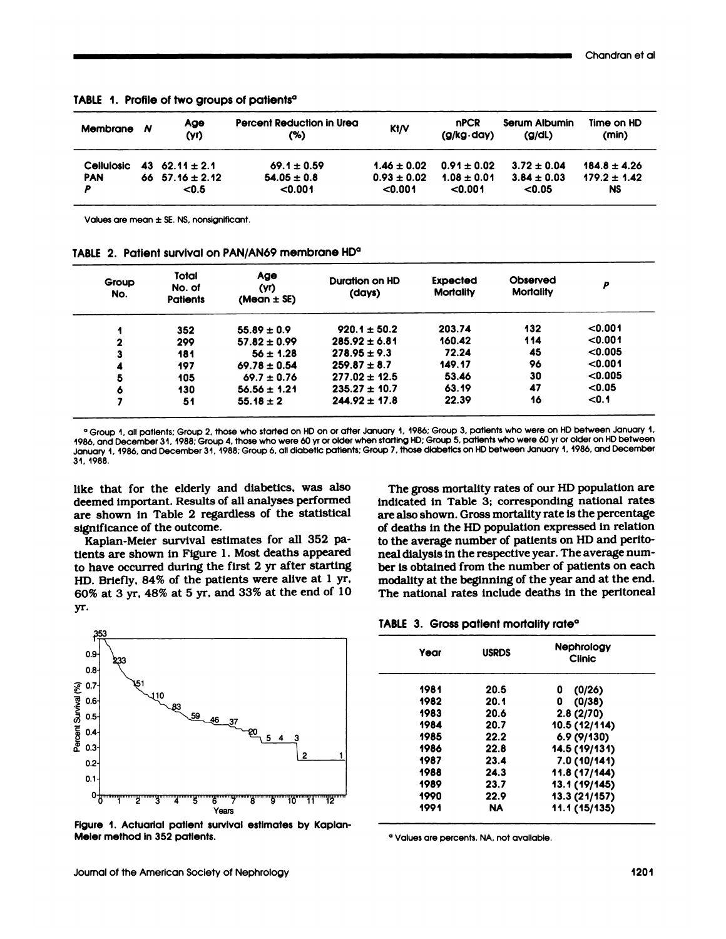| Membrane N | Age<br>(yr)         | Percent Reduction in Urea<br>(%) | K1/V            | <b>nPCR</b><br>$(g/kg \cdot day)$ | Serum Albumin<br>(g/dl) | Time on HD<br>(min) |
|------------|---------------------|----------------------------------|-----------------|-----------------------------------|-------------------------|---------------------|
| Cellulosic | 43 62.11 $\pm$ 2.1  | $69.1 \pm 0.59$                  | $1.46 \pm 0.02$ | $0.91 \pm 0.02$                   | $3.72 \pm 0.04$         | $184.8 \pm 4.26$    |
| <b>PAN</b> | 66 $57.16 \pm 2.12$ | $54.05 \pm 0.8$                  | $0.93 \pm 0.02$ | $1.08 \pm 0.01$                   | $3.84 \pm 0.03$         | $179.2 \pm 1.42$    |
| P          | < 0.5               | < 0.001                          | < 0.001         | < 0.001                           | < 0.05                  | <b>NS</b>           |

TABLE 1. Profile of two groups of patients<sup>a</sup>

Values are mean ± SE. NS. nonsignificant.

Values are mean ± SE. NS, nonsignificant.<br>TABLE 2. Patient survival on PAN/AN69 membrane HD<sup>a</sup> 2. Patient survival on PAN/AN69 membrane HD°<br>
Group Total Age Duration on HD Exp<br>
No. of (yr) (days) Mo No. Patients (Mean <sup>±</sup> **SE)** Expected **Mortality Observed** Mortality <sup>P</sup> I 352 55.89±0.9 920.1±50.2 203.74 132 <0.001 <sup>2</sup> <sup>299</sup> 57.82±0.99 285.92±6.81 160.42 <sup>114</sup> <0.001 **3 181 56±1.28 278.95±9.3 72.24 45 <0.005**  $\begin{array}{cccc} 4 & 497 & 69.78 \pm 0.54 & 259.87 \pm 8.7 & 449.17 & 96 & <0.001 \ 5 & 405 & 69.7 \pm 0.76 & 277.02 \pm 42.5 & 53.46 & 30 & <0.005 \end{array}$  $5$  105 69.7 ± 0.76 277.02 ± 12.5 53.46 30 <0.00<br>6 130 56.56 ± 1.21 235.27 ± 10.7 63.19 47 <0.05

| IABLE  2.  Patient survival on PAN/AN69 membrane HD° |  |  |  |  |  |  |  |  |  |  |  |  |  |  |  |  |  |  |  |  |  |  |  |  |  |  |  |  |  |  |  |  |  |  |  |  |  |  |  |  |  |  |  |  |  |  |  |  |  |  |  |  |  |  |  |  |  |  |  |  |  |  |  |  |  |  |  |  |  |  |  |  |  |  |  |  |  |  |  |  |  |  |  |  |  |  |  |  |  |  |  |  |  |  |  |  |  |  |  |  |  |  |  |  |  |  |  |  |  |  |  |  |  |  |  |  |  |  |  |  |  |  |  |  |  |  |  |  |  |  |  |  |  |  |  |  |  |  |  |  |  |  |  |  |  |  |
|------------------------------------------------------|--|--|--|--|--|--|--|--|--|--|--|--|--|--|--|--|--|--|--|--|--|--|--|--|--|--|--|--|--|--|--|--|--|--|--|--|--|--|--|--|--|--|--|--|--|--|--|--|--|--|--|--|--|--|--|--|--|--|--|--|--|--|--|--|--|--|--|--|--|--|--|--|--|--|--|--|--|--|--|--|--|--|--|--|--|--|--|--|--|--|--|--|--|--|--|--|--|--|--|--|--|--|--|--|--|--|--|--|--|--|--|--|--|--|--|--|--|--|--|--|--|--|--|--|--|--|--|--|--|--|--|--|--|--|--|--|--|--|--|--|--|--|--|--|--|--|
|------------------------------------------------------|--|--|--|--|--|--|--|--|--|--|--|--|--|--|--|--|--|--|--|--|--|--|--|--|--|--|--|--|--|--|--|--|--|--|--|--|--|--|--|--|--|--|--|--|--|--|--|--|--|--|--|--|--|--|--|--|--|--|--|--|--|--|--|--|--|--|--|--|--|--|--|--|--|--|--|--|--|--|--|--|--|--|--|--|--|--|--|--|--|--|--|--|--|--|--|--|--|--|--|--|--|--|--|--|--|--|--|--|--|--|--|--|--|--|--|--|--|--|--|--|--|--|--|--|--|--|--|--|--|--|--|--|--|--|--|--|--|--|--|--|--|--|--|--|--|--|

 $\begin{array}{lllllllllllll} \delta & 130 & 56.56 \pm 1.21 & 235.27 \pm 10.7 & 63.19 & 47 & <0.05 \\ 7 & 51 & 55.18 \pm 2 & 244.92 \pm 17.8 & 22.39 & 16 & <0.1 \\ \hline \end{array}$ <br>
<br>
Persoup 1, all patients: Group 2, those who started on HD on or after January 1, 1986: Grou Herody H, dir patients, shoup 2, incess who were 60 yr or older when<br>index, and December 31, 1988; Group 4, those who were 60 yr or older when<br>january 1, 1986, and December 31, 1988; Group 6, all diabetic patients; Gro<br>31, 1986, and December 31, 1988; Group 4, those who were 60 yr or older when starting HD; Group 5, patients who were 60 yr or older on HD between<br>January 1, 1986, and December 31, 1988; Group 6, all diabetic patients; Group 7,

**<sup>6</sup> <sup>130</sup> 56.56±1.21 235.27±10.7 63.19 <sup>47</sup> <0.05** 7 51 55.18±2 244.92±17.8 22.39 16 <0.1

denuary 1, 1986, and December 31, 1988; Group 6, all diabetic patients; 1<br>31, 1988.<br>Iike that for the elderly and diabetics, was also<br>deemed important. Results of all analyses performed<br>are shown in Table 2 regardless of t 34, 1988.<br>like that for the elderly and diabetics, was also<br>deemed important. Results of all analyses performed<br>are shown in Table 2 regardless of the statistical<br>significance of the outcome. like that for the elderly a<br>deemed important. Results of<br>are shown in Table 2 regarificance of the outcome.<br>Kaplan-Meier survival es is that for the elderly and diabetics, was also emed important. Results of all analyses performed e shown in Table 2 regardless of the statistical gnificance of the outcome.<br>Kaplan-Meier survival estimates for all 352 pa-<br>

deemed important. Results of all analyses performed<br>are shown in Table 2 regardless of the statistical<br>significance of the outcome.<br>Kaplan-Meier survival estimates for all 352 pa-<br>tients are shown in Figure 1. Most deaths are shown in Table 2 regardless of the statistical<br>significance of the outcome.<br>Kaplan-Meier survival estimates for all 352 pa-<br>tients are shown in Figure 1. Most deaths appeared<br>to have occurred during the first 2 yr afte significance of the outcome.<br>Kaplan-Meier survival estimates for all 352 patients are shown in Figure 1. Most deaths appeared<br>to have occurred during the first 2 yr after starting<br>HD. Briefly, 84% of the patients were aliv yr.

Kaplan-Meier survival estimates for all  $352$  pation the average number of patients on HD and perito-<br>tients are shown in Figure 1. Most deaths appeared and include the respective year. The average num-<br>to have occurred d up 7, those diabetics on HD between January 1, 1986, and December<br>The gross mortality rates of our HD population are<br>indicated in Table 3; corresponding national rates<br>are also shown. Gross mortality rate is the percentage The gross mortality rates of our HD population are<br>indicated in Table 3; corresponding national rates<br>are also shown. Gross mortality rate is the percentage<br>of deaths in the HD population expressed in relation The gross mortality rates of our HD population are<br>indicated in Table 3; corresponding national rates<br>are also shown. Gross mortality rate is the percentage<br>of deaths in the HD population expressed in relation<br>to the avera The gross mortality rates of our HD population andicated in Table 3; corresponding national rat<br>are also shown. Gross mortality rate is the percenta<br>of deaths in the HD population expressed in relati<br>to the average number indicated in Table 3; corresponding national rate<br>are also shown. Gross mortality rate is the percentag<br>of deaths in the HD population expressed in relatio<br>to the average number of patients on HD and perit<br>neal dialysis in are also shown. Gross mortality rate is the percentage<br>of deaths in the HD population expressed in relation<br>to the average number of patients on HD and perito-<br>neal dialysis in the respective year. The average num-<br>ber is of deaths in the HD population expressed in relation<br>to the average number of patients on HD and perito-<br>neal dialysis in the respective year. The average num-<br>ber is obtained from the number of patients on each<br>modality a to the average number of patients on HD and perito-<br>neal dialysis in the respective year. The average num-<br>ber is obtained from the number of patients on each<br>modality at the beginning of the year and at the end<br>The nation ber is obtained from the number of patients of modality at the beginning of the year and at the per The national rates include deaths in the per NABLE 3. Gross potient mortality rate<sup>o</sup>



Figure 1. Actuarial patient survival estimates by Kaplan-<br>Meier method in 352 patients.<br>Journal of the American Society of Nephrology 1201 Meier method in 352 patients.

| Year | <b>USRDS</b> | <b>Nephrology</b><br><b>Clinic</b> |
|------|--------------|------------------------------------|
| 1981 | 20.5         | (0/26)<br>0                        |
| 1982 | 20.1         | 0<br>(0/38)                        |
| 1983 | 20.6         | 2.8(2/70)                          |
| 1984 | 20.7         | 10.5 (12/114)                      |
| 1985 | 22.2         | 6.9(9/130)                         |
| 1986 | 22.8         | 14.5 (19/131)                      |
| 1987 | 23.4         | 7.0(10/141)                        |
| 1988 | 24.3         | 11.8 (17/144)                      |
| 1989 | 23.7         | 13.1 (19/145)                      |
| 1990 | 22.9         | 13.3 (21/157)                      |
| 1991 | <b>NA</b>    | 11.1 (15/135)                      |
|      |              |                                    |

**<sup>0</sup>** Values are percents. NA, not available.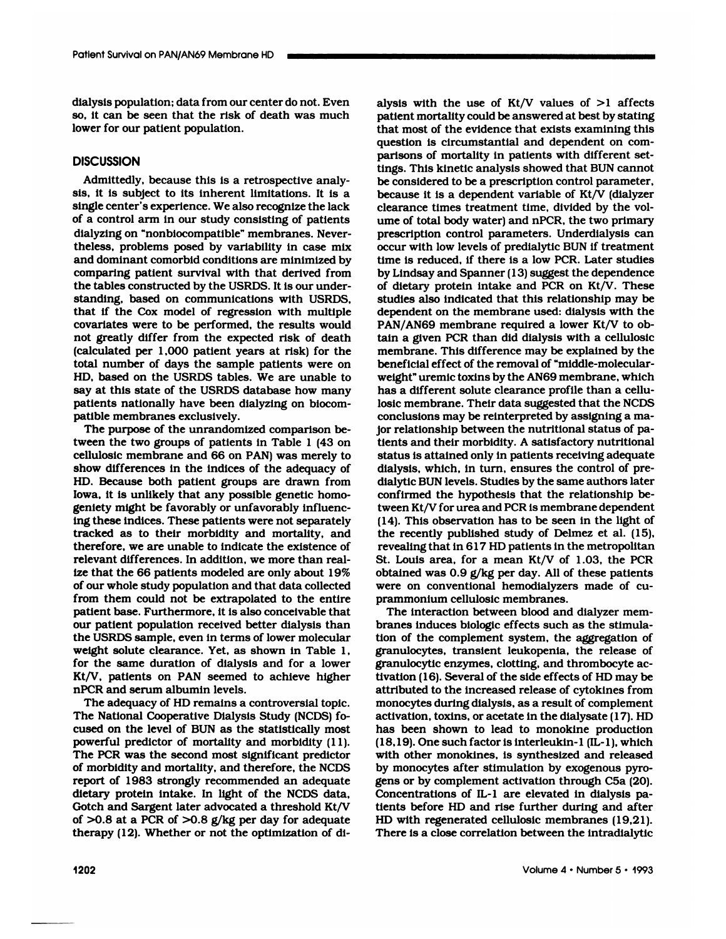Patient Survival on PAN/AN69 Membrane HD<br>dialysis population; data from our center do not. Even<br>so, it can be seen that the risk of death was much so, it can be seen that from our center do not. Even<br>so, it can be seen that the risk of death was much<br>lower for our patient population. dialysis population; data from o<br>so, it can be seen that the risl<br>lower for our patient population

# **DISCUSSION**

wer for our patient population.<br>SCUSSION<br>Admittedly, because this is a retrospective ana<br>s, it is subject to its inherent limitations. It is DISCUSSION<br>Admittedly, because this is a retrospective analy-<br>sis, it is subject to its inherent limitations. It is a<br>single center's experience. We also recognize the lack DISCUSSION<br>Admittedly, because this is a retrospective analy-<br>sis, it is subject to its inherent limitations. It is a<br>single center's experience. We also recognize the lack<br>of a control arm in our study consisting of patie Admittedly, because this is a retrospective analysis, it is subject to its inherent limitations. It is a single center's experience. We also recognize the lack of a control arm in our study consisting of patients dialyzing Admittedly, because this is a retrospective analsis, it is subject to its inherent limitations. It is single center's experience. We also recognize the la of a control arm in our study consisting of patien dialyzing on "no sis, it is subject to its inherent limitations. It is a<br>single center's experience. We also recognize the lack<br>of a control arm in our study consisting of patients<br>dialyzing on "nonbiocompatible" membranes. Never-<br>theless, single center's experience. We also recognize the lack<br>of a control arm in our study consisting of patients<br>dialyzing on "nonbiocompatible" membranes. Never-<br>theless, problems posed by variability in case mix<br>and dominant of a control arm in our study consisting of patients<br>dialyzing on "nonbiocompatible" membranes. Never-<br>theless, problems posed by variability in case mix<br>occident dominant comorbid conditions are minimized by<br>time<br>comparin dialyzing on "nonbiocompatible" membranes. Nevertheless, problems posed by variability in case r<br>and dominant comorbid conditions are minimized<br>comparing patient survival with that derived fr<br>the tables constructed by the theless, problems posed by variability in case mix<br>and dominant comorbid conditions are minimized by<br>comparing patient survival with that derived from<br>the tables constructed by the USRDS. It is our under-<br>standing, based o and dominant comorbid conditions are minimized by<br>comparing patient survival with that derived from<br>the tables constructed by the USRDS. It is our under-<br>standing, based on communications with USRDS,<br>that if the Cox model comparing patient survival with that derived from<br>the tables constructed by the USRDS. It is our under-<br>standing, based on communications with USRDS,<br>that if the Cox model of regression with multiple<br>covariates were to be the tables constructed by the USRDS. It is our under-<br>standing, based on communications with USRDS,<br>that if the Cox model of regression with multiple<br>covariates were to be performed, the results would<br>not greatly differ fr standing, based on communications with USRDS,<br>that if the Cox model of regression with multiple<br>covariates were to be performed, the results would<br>not greatly differ from the expected risk of death<br>(calculated per 1,000 pa that if the Cox model of regression with multiple dependent on the membrane used: dialysis with the covariates were to be performed, the results would<br>not greatly differ from the expected risk of death tain a given PCR tha covariates were to be performed, the results would<br>not greatly differ from the expected risk of death<br>(calculated per 1,000 patient years at risk) for the<br>ntotal number of days the sample patients were on<br>HD, based on the not greatly differ from the expected risk of death<br>(calculated per 1,000 patient years at risk) for the<br>total number of days the sample patients were on<br>HD, based on the USRDS tables. We are unable to<br>say at this state of total number of days the sample patients were on HD, based on the USRDS tables. We are unable to say at this state of the USRDS database how many patients nationally have been dialyzing on biocompatible membranes exclusive D, based on the USRDS tables. We are unable to<br>y at this state of the USRDS database how many<br>itients nationally have been dialyzing on biocom-<br>itible membranes exclusively.<br>The purpose of the unrandomized comparison be-<br>v

The purpose of the unrandomized comparison besay at this state of the USRDS database how many<br>patients nationally have been dialyzing on biocom-<br>patible membranes exclusively.<br>The purpose of the unrandomized comparison be-<br>tween the two groups of patients in Table 1 patients nationally have been dialyzing on biocompatible membranes exclusively.<br>
The purpose of the unrandomized comparison be-<br>
tween the two groups of patients in Table 1 (43 on<br>
cellulosic membrane and 66 on PAN) was me patible membranes exclusively.<br>The purpose of the unrandomized comparison be-<br>tween the two groups of patients in Table 1 (43 on<br>cellulosic membrane and 66 on PAN) was merely to<br>show differences in the indices of the adequ The purpose of the unrandomized comparison be-<br>tween the two groups of patients in Table 1 (43 on<br>cellulosic membrane and 66 on PAN) was merely to<br>state show differences in the indices of the adequacy of<br>dial<br>HD. Because b cellulosic membrane and 66 on PAN) was merely to<br>show differences in the indices of the adequacy of<br>HD. Because both patient groups are drawn from<br>lowa, it is unlikely that any possible genetic homo-<br>geniety might be favor lowa, it is unlikely that any possible genetic homoshow differences in the indices of the adequacy of<br>HD. Because both patient groups are drawn from<br>Iowa, it is unlikely that any possible genetic homo-<br>geniety might be favorably or unfavorably influenc-<br>ing these indices. HD. Because both patient groups are drawn from<br>lowa, it is unlikely that any possible genetic homo-<br>geniety might be favorably or unfavorably influenc-<br>ing these indices. These patients were not separately<br>tracked as to th Iowa, it is unlikely that any possible genetic homogeniety might be favorably or unfavorably influencing these indices. These patients were not separately tracked as to their morbidity and mortality, and therefore, we are geniety might be favorably or unfavorably influenceing these indices. These patients were not separately tracked as to their morbidity and mortality, and therefore, we are unable to indicate the existence of relevant diffe ing these indices. These patients were not separately  $(14)$ .<br>tracked as to their morbidity and mortality, and the indicate the existence of revear<br>therefore, we are unable to indicate the existence of revear<br>relevant dif therefore, we are unable to indicate the existence of<br>relevant differences. In addition, we more than real-<br>ize that the 66 patients modeled are only about 19%<br>of our whole study population and that data collected<br>from the of our whole study population and that data collected relevant differences. In addition, we more than real-<br>ize that the 66 patients modeled are only about 19%<br>of our whole study population and that data collected<br>from them could not be extrapolated to the entire<br>patient base our patient population received better dialysis than<br>the USRDS sample, even in terms of lower molecular<br>weight solute clearance. Yet, as shown in Table 1,<br>for the same duration of dialysis and for a lower from them could not be extrapolated to the entire<br>patient base. Furthermore, it is also conceivable that<br>our patient population received better dialysis than<br>the USRDS sample, even in terms of lower molecular<br>weight solute patient base. Furthermore, it is also conceivable that<br>our patient population received better dialysis than<br>the USRDS sample, even in terms of lower molecular<br>weight solute clearance. Yet, as shown in Table 1,<br>for the same our patient population received better dialysis than<br>the USRDS sample, even in terms of lower molecular<br>weight solute clearance. Yet, as shown in Table 1,<br>for the same duration of dialysis and for a lower<br>Kt/V, patients on the USRDS sample, even in terms<br>weight solute clearance. Yet, as<br>for the same duration of dialysi<br>Kt/V, patients on PAN seemed<br>nPCR and serum albumin levels.<br>The adequacy of HD remains a Kt/V, patients on PAN seemed to achieve higher<br>nPCR and serum albumin levels.<br>The adequacy of HD remains a controversial topic.

of >0.8 at a PCR of >0.8 g/kg per day for adequate HD with regenerated cellulosic membranes (19,21).<br>
therapy (12). Whether or not the optimization of di-<br>
1202 Volume  $4 \cdot$  Number  $5 \cdot 1993$ for the same duration of dialysis and for a lower Kt/V, patients on PAN seemed to achieve higher nPCR and serum albumin levels.<br>The adequacy of HD remains a controversial topic.<br>The National Cooperative Dialysis Study (NCD Kt/V, patients on PAN seemed to achieve higher<br>nPCR and serum albumin levels.<br>The adequacy of HD remains a controversial topic.<br>The National Cooperative Dialysis Study (NCDS) fo-<br>cused on the level of BUN as the statistica nPCR and serum albumin levels.<br>The adequacy of HD remains a controversial topic.<br>The National Cooperative Dialysis Study (NCDS) fo-<br>cused on the level of BUN as the statistically most<br>powerful predictor of mortality and mo The adequacy of HD remains a controversial topic.<br>The National Cooperative Dialysis Study (NCDS) focused on the level of BUN as the statistically most<br>powerful predictor of mortality and morbidity (11).<br>The PCR was the sec The National Cooperative Dialysis Study (NCDS) fo-<br>cused on the level of BUN as the statistically most<br>powerful predictor of mortality and morbidity (11).<br>The PCR was the second most significant predictor<br>of morbidity and cused on the level of BUN as the statistically most<br>powerful predictor of mortality and morbidity (11).<br>The PCR was the second most significant predictor<br>of morbidity and mortality, and therefore, the NCDS<br>report of 1983 s powerful predictor of mortality and morbidity (11).<br>The PCR was the second most significant predictor<br>of morbidity and mortality, and therefore, the NCDS<br>report of 1983 strongly recommended an adequate<br>dietary protein inta The PCR was the second most significant predictor<br>of morbidity and mortality, and therefore, the NCDS<br>by<br>report of 1983 strongly recommended an adequate<br>dietary protein intake. In light of the NCDS data,<br>Cootch and Sargen of morbidity and mortality, and therefore, the NCDS<br>report of 1983 strongly recommended an adequate<br>dietary protein intake. In light of the NCDS data,<br>Gotch and Sargent later advocated a threshold Kt/V<br>of >0.8 at a PCR of report of 1983 strongly recommended an adequate<br>dietary protein intake. In light of the NCDS data,<br>Gotch and Sargent later advocated a threshold Kt/V<br>of >0.8 at a PCR of >0.8 g/kg per day for adequate<br>therapy (12). Whethe

alysis with the use of Kt/V values of >1 affects<br>patient mortality could be answered at best by stating alysis with the use of Kt/V values of >1 affects<br>patient mortality could be answered at best by stating<br>that most of the evidence that exists examining this alysis with the use of Kt/V values of >1 affects<br>patient mortality could be answered at best by stating<br>that most of the evidence that exists examining this<br>question is circumstantial and dependent on comalysis with the use of Kt/V values of >1 affect<br>patient mortality could be answered at best by statin<br>that most of the evidence that exists examining thi<br>question is circumstantial and dependent on com<br>parisons of mortalit alysis with the use of Kt/V values of  $>1$  affects<br>patient mortality could be answered at best by stating<br>that most of the evidence that exists examining this<br>question is circumstantial and dependent on com-<br>parisons of m patient mortality could be answered at best by stating<br>that most of the evidence that exists examining this<br>question is circumstantial and dependent on com-<br>parisons of mortality in patients with different set-<br>tings. This that most of the evidence that exists examining th<br>question is circumstantial and dependent on con<br>parisons of mortality in patients with different se<br>tings. This kinetic analysis showed that BUN canno<br>be considered to be question is circumstantial and dependent on comparisons of mortality in patients with different settings. This kinetic analysis showed that BUN cannot be considered to be a prescription control parameter, because it is a d parisons of mortality in patients with different set-<br>tings. This kinetic analysis showed that BUN cannot<br>be considered to be a prescription control parameter,<br>because it is a dependent variable of Kt/V (dialyzer<br>clearance tings. This kinetic analysis showed that BUN cannot<br>be considered to be a prescription control parameter,<br>because it is a dependent variable of Kt/V (dialyzer<br>clearance times treatment time, divided by the vol-<br>ume of tota be considered to be a prescription control parameter,<br>because it is a dependent variable of Kt/V (dialyzer<br>clearance times treatment time, divided by the vol-<br>ume of total body water) and nPCR, the two primary<br>prescription because it is a dependent variable of Kt/V (dialyze clearance times treatment time, divided by the volume of total body water) and nPCR, the two primary prescription control parameters. Underdialysis can occur with low lev clearance times treatment time, divided by the volume of total body water) and nPCR, the two primary<br>prescription control parameters. Underdialysis can<br>occur with low levels of predialytic BUN if treatment<br>time is reduced, prescription control parameters. Underdialysis can<br>occur with low levels of predialytic BUN if treatment<br>time is reduced, if there is a low PCR. Later studies<br>by Lindsay and Spanner (13) suggest the dependence<br>of dietary p prescription control parameters. Underdialysis can<br>occur with low levels of predialytic BUN if treatment<br>time is reduced, if there is a low PCR. Later studies<br>by Lindsay and Spanner (13) suggest the dependence<br>of dietary p occur with low levels of predialytic BUN if treatment<br>time is reduced, if there is a low PCR. Later studies<br>by Lindsay and Spanner (13) suggest the dependence<br>of dietary protein intake and PCR on Kt/V. These<br>studies also i time is reduced, if there is a low PCR. Later studies<br>by Lindsay and Spanner (13) suggest the dependence<br>of dietary protein intake and PCR on Kt/V. These<br>studies also indicated that this relationship may be<br>dependent on th by Lindsay and Spanner (13) suggest the dependence<br>of dietary protein intake and PCR on Kt/V. These<br>studies also indicated that this relationship may be<br>dependent on the membrane used: dialysis with the<br>PAN/AN69 membrane r of dietary protein intake and PCR on Kt/V. These<br>studies also indicated that this relationship may be<br>dependent on the membrane used: dialysis with the<br>PAN/AN69 membrane required a lower Kt/V to ob-<br>tain a given PCR than d studies also indicated that this relationship may be<br>dependent on the membrane used: dialysis with the<br>PAN/AN69 membrane required a lower Kt/V to ob-<br>tain a given PCR than did dialysis with a cellulosic<br>membrane. This diff dependent on the membrane used: dialysis v<br>PAN/AN69 membrane required a lower Kt/v<br>tain a given PCR than did dialysis with a comembrane. This difference may be explained<br>beneficial effect of the removal of "middle-mo<br>weigh PAN/AN69 membrane required a lower Kt/V to obtain a given PCR than did dialysis with a cellulosic<br>membrane. This difference may be explained by the<br>beneficial effect of the removal of "middle-molecular-<br>weight" uremic toxi tain a given PCR than did dialysis with a cellulos<br>membrane. This difference may be explained by th<br>beneficial effect of the removal of "middle-molecula<br>weight" uremic toxins by the AN69 membrane, whic<br>has a different solu membrane. This difference may be explained by the<br>beneficial effect of the removal of "middle-molecular-<br>weight" uremic toxins by the AN69 membrane, which<br>has a different solute clearance profile than a cellu-<br>losic membra beneficial effect of the removal of "middle-molecular-<br>weight" uremic toxins by the AN69 membrane, which<br>has a different solute clearance profile than a cellu-<br>losic membrane. Their data suggested that the NCDS<br>conclusions losic membrane. Their data suggested that the NCDS<br>conclusions may be reinterpreted by assigning a ma-<br>jor relationship between the nutritional status of pa-<br>tients and their morbidity. A satisfactory nutritional<br>status is jor relationship between the nutritional status of palosic membrane. Their data suggested that the NCDS<br>conclusions may be reinterpreted by assigning a ma-<br>jor relationship between the nutritional status of pa-<br>tients and their morbidity. A satisfactory nutritional<br>status is conclusions may be reinterpreted by assigning a ma-<br>jor relationship between the nutritional status of pa-<br>tients and their morbidity. A satisfactory nutritional<br>status is attained only in patients receiving adequate<br>dialy jor relationship between the nutritional status of pa-<br>tients and their morbidity. A satisfactory nutritional<br>status is attained only in patients receiving adequate<br>dialysis, which, in turn, ensures the control of pre-<br>dia tients and their morbidity. A satisfactory nutritional<br>status is attained only in patients receiving adequate<br>dialysis, which, in turn, ensures the control of pre-<br>dialytic BUN levels. Studies by the same authors later<br>con status is attained only in patients receiving adequat<br>dialysis, which, in turn, ensures the control of pre<br>dialytic BUN levels. Studies by the same authors late<br>confirmed the hypothesis that the relationship be<br>tween Kt/V dialysis, which, in turn, ensures the control of pre-<br>dialytic BUN levels. Studies by the same authors later<br>confirmed the hypothesis that the relationship be-<br>tween Kt/V for urea and PCR is membrane dependent<br>(14). This o dialytic BUN levels. Studies by the same authors later<br>confirmed the hypothesis that the relationship be-<br>tween Kt/V for urea and PCR is membrane dependent<br>(14). This observation has to be seen in the light of<br>the recently confirmed the hypothesis that the relationship be-<br>tween Kt/V for urea and PCR is membrane dependent<br>(14). This observation has to be seen in the light of<br>the recently published study of Delmez et al. (15),<br>revealing that tween Kt/V for urea and PCR is membrane dependent (14). This observation has to be seen in the light of the recently published study of Delmez et al. (15), revealing that in 617 HD patients in the metropolitan St. Louis a (14). This observation has to be seen in the light of<br>the recently published study of Delmez et al. (15),<br>revealing that in 617 HD patients in the metropolitan<br>St. Louis area, for a mean Kt/V of 1.03, the PCR<br>obtained was the recently published study of Delmez et al. (15), revealing that in 617 HD patients in the metropolitan St. Louis area, for a mean Kt/V of 1.03, the PCR obtained was 0.9  $g/kg$  per day. All of these patients were on conve revealing that in 617 HD patients i<br>St. Louis area, for a mean Kt/V<br>obtained was 0.9 g/kg per day. Al<br>were on conventional hemodialy<br>prammonium cellulosic membrane<br>The interaction between blood a . Louis area, for a mean Kt/V of  $1.03$ , the PC<br>otained was  $0.9$  g/kg per day. All of these patien<br>ere on conventional hemodialyzers made of c<br>ammonium cellulosic membranes.<br>The interaction between blood and dialyzer mer

obtained was 0.9 g/kg per day. All of these patie<br>were on conventional hemodialyzers made of<br>prammonium cellulosic membranes.<br>The interaction between blood and dialyzer me<br>branes induces biologic effects such as the stimut prammonium cellulosic membranes.<br>The interaction between blood and dialyzer membranes induces biologic effects such as the stimulation of the complement system, the aggregation of granulocytes, transient leukopenia, the re prammonium cellulosic membranes.<br>The interaction between blood and dialyzer membranes induces biologic effects such as the stimulation of the complement system, the aggregation of granulocytes, transient leukopenia, the re The interaction between blood and dialyzer membranes induces biologic effects such as the stimulation of the complement system, the aggregation of granulocytes, transient leukopenia, the release of granulocytic enzymes, cl branes induces biologic effects such as the stimulation of the complement system, the aggregation of granulocytes, transient leukopenia, the release of granulocytic enzymes, clotting, and thrombocyte activation (16). Sever tion of the complement system, the aggregation of<br>granulocytes, transient leukopenia, the release of<br>granulocytic enzymes, clotting, and thrombocyte ac-<br>tivation (16). Several of the side effects of HD may be<br>attributed to granulocytes, transient leukopenia, the release of granulocytic enzymes, clotting, and thrombocyte at tivation (16). Several of the side effects of HD may b attributed to the increased release of cytokines from monocytes d granulocytic enzymes, clotting, and thrombocyte activation (16). Several of the side effects of HD may be<br>attributed to the increased release of cytokines from<br>monocytes during dialysis, as a result of complement<br>activatio tivation (16). Several of the side effects of HD may be<br>attributed to the increased release of cytokines from<br>monocytes during dialysis, as a result of complement<br>activation, toxins, or acetate in the dialysate (17). HD<br>ha attributed to the increased release of cytokines from<br>monocytes during dialysis, as a result of complement<br>activation, toxins, or acetate in the dialysate (17). HD<br>has been shown to lead to monokine production<br>(18,19). One monocytes during dialysis, as a result of complement<br>activation, toxins, or acetate in the dialysate  $(17)$ . HD<br>has been shown to lead to monokine production<br> $(18,19)$ . One such factor is interleukin-1  $[IL-1]$ , which<br>with activation, toxins, or acetate in the dialysate (17). H<br>has been shown to lead to monokine productio<br>(18,19). One such factor is interleukin-1 (IL-1), whic<br>with other monokines, is synthesized and release<br>by monocytes afte has been shown to lead to monokine production (18,19). One such factor is interleukin-1 (IL-1), which with other monokines, is synthesized and released by monocytes after stimulation by exogenous pyrogens or by complement (18,19). One such factor is interleukin-1 (IL-1), which<br>with other monokines, is synthesized and released<br>by monocytes after stimulation by exogenous pyro-<br>gens or by complement activation through C5a (20).<br>Concentrations with other monokines, is synthesized and released<br>by monocytes after stimulation by exogenous pyro-<br>gens or by complement activation through C5a (20).<br>Concentrations of IL-1 are elevated in dialysis pa-<br>tients before HD an by monocytes after stimulation by exogenous pyrogens or by complement activation through C5a (20).<br>Concentrations of IL-1 are elevated in dialysis patents before HD and rise further during and after<br>HD with regenerated cel gens or by complement activation through C5a<br>Concentrations of IL-1 are elevated in dialysis<br>tients before HD and rise further during and a<br>HD with regenerated cellulosic membranes (19<br>There is a close correlation between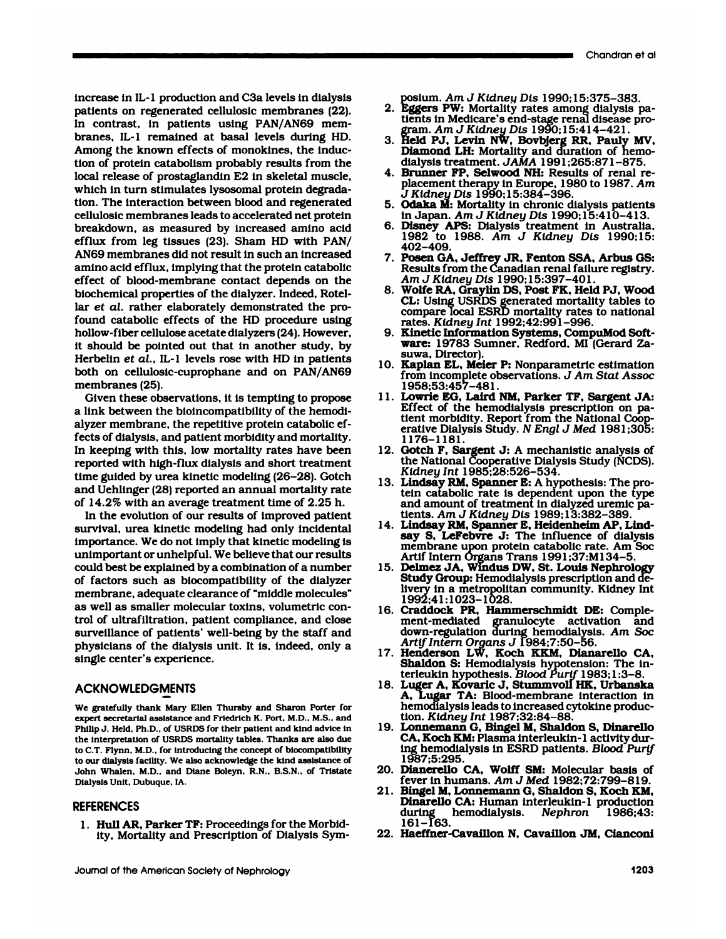increase in IL-1 production and C3a levels in dialysis<br>patients on regenerated cellulosic membranes (22). merease in IL-1 production and C3a levels in dialysis<br>patients on regenerated cellulosic membranes (22).<br>In contrast, in patients using PAN/AN69 memincrease in IL-1 production and C3a levels in dialys<br>patients on regenerated cellulosic membranes (22<br>In contrast, in patients using PAN/AN69 mem<br>branes, IL-1 remained at basal levels during H increase in IL-1 production and C3a levels in dialysis<br>patients on regenerated cellulosic membranes (22).<br>In contrast, in patients using PAN/AN69 mem-<br>branes, IL-1 remained at basal levels during HD.<br>Among the known effect increase in IL-1 production and C3a levels in dialy<br>patients on regenerated cellulosic membranes (2<br>In contrast, in patients using PAN/AN69 me<br>branes, IL-1 remained at basal levels during F<br>Among the known effects of monok patients on regenerated cellulosic membranes (22).<br>In contrast, in patients using PAN/AN69 membranes, IL-1 remained at basal levels during HD.<br>Among the known effects of monokines, the induc-<br>tion of protein catabolism pro In contrast, in patients using PAN/AN69 membranes, IL-1 remained at basal levels during HD.<br>Among the known effects of monokines, the induction of protein catabolism probably results from the<br>local release of prostaglandin branes, IL-1 remained at basal levels during Among the known effects of monokines, the induction of protein catabolism probably results from local release of prostaglandin E2 in skeletal mus<br>which in turn stimulates lysoso Among the known effects of monokines, the induction of protein catabolism probably results from the local release of prostaglandin E2 in skeletal muscle, which in turn stimulates lysosomal protein degradation. The interact tion of protein catabolism probably results from the<br>local release of prostaglandin E2 in skeletal muscle,<br>which in turn stimulates lysosomal protein degrada-<br>tion. The interaction between blood and regenerated<br>cellulosic local release of prostaglandin E2 in skeletal muscle,<br>which in turn stimulates lysosomal protein degrada-<br>tion. The interaction between blood and regenerated<br>cellulosic membranes leads to accelerated net protein<br>breakdown, which in turn stimulates lysosomal protein degrada-<br>tion. The interaction between blood and regenerated<br>cellulosic membranes leads to accelerated net protein<br>breakdown, as measured by increased amino acid<br>efflux from leg t tion. The interaction between blood and regenerated<br>cellulosic membranes leads to accelerated net protein<br>breakdown, as measured by increased amino acid<br>efflux from leg tissues (23). Sham HD with PAN/<br>AN69 membranes did no cellulosic membranes leads to accelerated net protein<br>breakdown, as measured by increased amino acid<br>efflux from leg tissues (23). Sham HD with PAN/<br>AN69 membranes did not result in such an increased<br>amino acid efflux, imp breakdown, as measured by increased amino acid<br>efflux from leg tissues (23). Sham HD with PAN/<br>AN69 membranes did not result in such an increased<br>amino acid efflux, implying that the protein catabolic<br>effect of blood-membr efflux from leg tissues (23). Sham HD with PAI<br>AN69 membranes did not result in such an increase<br>amino acid efflux, implying that the protein catabol<br>effect of blood-membrane contact depends on ti<br>biochemical properties of AN69 membranes did not result in such an increased<br>amino acid efflux, implying that the protein catabolic<br>effect of blood-membrane contact depends on the<br>blochemical properties of the dialyzer. Indeed, Rotel-<br>lar *et al.* amino acid efflux, implying that the protein catabolic<br>effect of blood-membrane contact depends on the<br>biochemical properties of the dialyzer. Indeed, Rotel-<br>lar *et al.* rather elaborately demonstrated the pro-<br>found cata effect of blood-membrane contact depends on the<br>blochemical properties of the dialyzer. Indeed, Rotel-<br>lar *et al.* rather elaborately demonstrated the pro-<br>found catabolic effects of the HD procedure using<br>hollow-fiber ce biochemical properties of the dialyzer. Indeed, Rotellar *et al.* rather elaborately demonstrated the profound catabolic effects of the HD procedure using hollow-fiber cellulose acetate dialyzers (24). However, it should b lar *et al.* rather elaborately demonstrated the pro-<br>found catabolic effects of the HD procedure using<br>hollow-fiber cellulose acetate dialyzers (24). However,<br>it should be pointed out that in another study, by<br>Herbelin *e* found catabolic effects of the HD procedure using<br>hollow-fiber cellulose acetate dialyzers (24). However,<br>it should be pointed out that in another study, by<br>Herbelin *et al.*, IL-1 levels rose with HD in patients<br>both on c it should be pointed out that in another study, by<br>Herbelin *et al.*, IL-1 levels rose with HD in patients<br>both on cellulosic-cuprophane and on PAN/AN69<br>membranes (25).<br>Given these observations, it is tempting to propose should be pointed out that in another study, by<br>erbelin *et al.*, IL-1 levels rose with HD in patients<br>of the on cellulosic-cuprophane and on PAN/AN69<br>embranes (25).<br>Given these observations, it is tempting to propose<br>lin

Herbelin *et al.*, IL-1 levels rose with HD in patie<br>both on cellulosic-cuprophane and on PAN/AI<br>membranes (25).<br>Given these observations, it is tempting to prop<br>a link between the bioincompatibility of the hemodial<br>alyzer both on cellulosic-cuprophane and on PAN/AN69<br>membranes (25).<br>Given these observations, it is tempting to propose<br>a link between the bioincompatibility of the hemodi-<br>alyzer membrane, the repetitive protein catabolic ef-<br>f membranes (25).<br>Given these observations, it is tempting to propose<br>a link between the bioincompatibility of the hemodialy<br>alyzer membrane, the repetitive protein catabolic ef<br>fects of dialysis, and patient morbidity and m Given these observations, it is tempting to propose<br>a link between the bioincompatibility of the hemodi-<br>alyzer membrane, the repetitive protein catabolic ef-<br>fects of dialysis, and patient morbidity and mortality.<br>In keep alyzer membrane, the repetitive protein catabolic effects of dialysis, and patient morbidity and mortality.<br>In keeping with this, low mortality rates have been reported with high-flux dialysis and short treatment time guid alyzer membrane, the repetitive protein catabolic effects of dialysis, and patient morbidity and mortality.<br>In keeping with this, low mortality rates have been<br>reported with high-flux dialysis and short treatment<br>time guid fects of dialysis, and patient morbidity and mortality.<br>In keeping with this, low mortality rates have been<br>reported with high-flux dialysis and short treatment<br>time guided by urea kinetic modeling (26–28). Gotch<br>and Uehli In keeping with this, low mortality rates have been<br>reported with high-flux dialysis and short treatment<br>time guided by urea kinetic modeling  $(26-28)$ . Gotch<br>and Uehlinger  $(28)$  reported an annual mortality rate<br>of 14.2 ported with high-flux dialysis and short treatment<br>me guided by urea kinetic modeling (26–28). Gotch<br>nd Uehlinger (28) reported an annual mortality rate<br>14.2% with an average treatment time of 2.25 h.<br>In the evolution of o

time guided by urea kinetic modeling (26–28). Gotch<br>and Uehlinger (28) reported an annual mortality rate<br>of 14.2% with an average treatment time of 2.25 h.<br>In the evolution of our results of improved patien<br>survival, urea and Uehlinger (28) reported an annual mortality rate<br>of 14.2% with an average treatment time of 2.25 h.<br>In the evolution of our results of improved patient<br>survival, urea kinetic modeling had only incidental<br>importance. We of 14.2% with an average treatment time of 2.25 h.<br>In the evolution of our results of improved patient<br>survival, urea kinetic modeling had only incidental<br>importance. We do not imply that kinetic modeling is<br>unimportant or In the evolution of our results of improved patient<br>survival, urea kinetic modeling had only incidental<br>importance. We do not imply that kinetic modeling is<br>unimportant or unhelpful. We believe that our results<br>could best survival, urea kinetic modeling had only incidental<br>importance. We do not imply that kinetic modeling is<br>unimportant or unhelpful. We believe that our results<br>could best be explained by a combination of a number<br>of factors importance. We do not imply that kinetic modeling is<br>unimportant or unhelpful. We believe that our results<br>could best be explained by a combination of a number<br>of factors such as biocompatibility of the dialyzer<br>membrane, unimportant or unhelpful. We believe that our results<br>could best be explained by a combination of a number<br>of factors such as biocompatibility of the dialyze<br>membrane, adequate clearance of "middle molecules<br>as well as sma could best be explained by a combination of a number<br>of factors such as biocompatibility of the dialyzer<br>membrane, adequate clearance of "middle molecules"<br>as well as smaller molecular toxins, volumetric con-<br>trol of ultra of factors such as biocompatibility of the dialyzer<br>membrane, adequate clearance of "middle molecules"<br>as well as smaller molecular toxins, volumetric con-<br>trol of ultrafiltration, patient compliance, and close<br>surveillanc membrane, adequate clearance of "middle molecules"<br>as well as smaller molecular toxins, volumetric con-<br>trol of ultrafiltration, patient compliance, and close<br>surveillance of patients' well-being by the staff and<br>physician as well as smaller molect<br>trol of ultrafiltration, pa<br>surveillance of patients'<br>physicians of the dialysi<br>single center's experienc

# **ACKNOWLEDGMENTS**

Sunger Statefully thank Mary Ellen Thursby and Sharon Porter for<br>We gratefully thank Mary Ellen Thursby and Sharon Porter for<br>expert secretarial assistance and Friedrich K. Port, M.D., M.S., and **ACKNOWLEDGMENTS**<br>We gratefully thank Mary Ellen Thursby and Sharon Porter for<br>expert secretarial assistance and Friedrich K. Port. M.D., M.S., and<br>Philip J. Held, Ph.D., of USRDS for their patient and kind advice in<br>the i We gratefully thank Mary Ellen Thursby and Sharon Porter for expert secretarial assistance and Friedrich K. Port, M.D., M.S., and Philip J. Held, Ph.D., of USRDS for their patient and kind advice in the interpretation of U expert secretarial assistance and Friedrich K. Port, M.D., M.S., and<br>Philip J. Held, Ph.D., of USRDS for their patient and kind advice in<br>the interpretation of USRDS mortality tables. Thanks are also due<br>to C.T. Flynn, M.D Philip J. Held, Ph.D., of USRDS for their patient and kind advice in the interpretation of USRDS mortality tables. Thanks are also due to C.T. Flynn, M.D., for introducing the concept of biocompatibility to our dialysis fa the interpretation of USRDS mortality tables. Thanks are also due to C.T. Flynn, M.D., for introducing the concept of biocompatibility

## REFERENCES

1. Hull AR, Parker TF: Proceedings for the Morbid-161-163.<br>
ity, Mortality and Prescription of Dialysis Sym-22. Haeffner-Cavaillon N, Cavaillon JM, Cianconi<br>
Journal of the American Society of Nephrology 1203 ohn Whalen, M.D., and Diane Boleyn, R.N., B.S.N., of Tristalysis Unit, Dubuque, IA.<br>1. **Hull AR, Parker TF:** Proceedings for the Mort<br>1. **Hull AR, Parker TF:** Proceedings for the Mort<br>1. Mortality and Prescription of Dialy sis Unit, Dubuque, IA.<br>RENCES<br>Hull AR, Parker TF: Proceedings for the Morbid<br>ity, Mortality and Prescription of Dialysis Syn

- posium. *Am J Kidney Dis* 1990; 15:375-383. 2. Eggers PW: Mortality pissing Chandran et al.<br>2. Eggers PW: Mortality rates among dialysis pa-<br>2. Eggers PW: Mortality rates among dialysis pa-<br>tients in Medicare's end-stage renal disease proposium. A*m J Kidney Dis* 1990;15:375–383.<br>**Eggers PW:** Mortality rates among dialysis pat<br>tients in Medicare's end-stage renal disease pro-<br>gram. A*m J Kidney Dis* 1990;15:414–421. posium. *Am J Ktdney Dis* 1990;15:37<br>**Eggers PW:** Mortality rates among d<br>tients in Medicare's end-stage renal d<br>gram. *Am J Kidney Dis* 1990;15:414<br>**Held PJ, Levin NW, Bovbjerg RR,** 1 posium. Am J Kidney Dis 1990;15:375–383.<br>2. **Eggers PW:** Mortality rates among dialysis patients in Medicare's end-stage renal disease program. Am J Kidney Dis 1990;15:414–421.<br>3. Held PJ, Levin NW, Bovbjerg RR, Pauly MV,
- posium. Am J Kidney Dis 1990;15:375–383.<br>**Eggers PW:** Mortality rates among dialysis j<br>tients in Medicare's end-stage renal disease p<br>gram. Am J Kidney Dis 1990;15:414–421.<br>**Held PJ, Levin NW, Bovbjerg RR, Pauly M**<br>**Diamon** Eggers PW: Mortality rates among dialysis patients in Medicare's end-stage renal disease program. *Am J Kidney Dis* 1990;15:414–421.<br>**Held PJ, Levin NW, Bovbjerg RR, Pauly MV**<br>**Diamond LH:** Mortality and duration of hemodi tients in Medicare's end-stage renal disease pro-<br>gram. Am J Kidney Dis 1990;15:414-421.<br>3. Held PJ, Levin NW, Bovbjerg RR, Pauly MV,<br>Diamond LH: Mortality and duration of hemo-<br>dialysis treatment. JAMA 1991;265:871-875.<br> gram. A*m J Kidney Dis* 1990;15:414–421.<br>Held PJ, Levin NW, Bovbjerg RR, Pauly MV,<br>Diamond LH: Mortality and duration of hemo-<br>dialysis treatment. JAMA 1991;265:871–875.<br>Brunner FP, Selwood NH: Results of renal re-<br>placeme
- *Held PJ, Levin NW, Bovbjer*<br>*Diamond LH: Mortality and c<br>dialysis treatment. JAMA 199*<br>*Brunner FP, Selwood NH: Re<br>placement therapy in Europe,<br>J Kidney Dis 1990;15:384-39*<br>**Odaka M:** Mortality in chronid **Diamond LH:** Mortality and duration of hemodialysis treatment. JAMA 1991;265:871-875.<br> **4. Brunner FP, Selwood NH:** Results of renal replacement therapy in Europe, 1980 to 1987. Am<br>
J Kidney Dis 1990;15:384-396.<br> **5. Odak** dialysis treatment. *JAMA* 1991;265:871–87<br>**Brunner FP, Selwood NH:** Results of renal<br>placement therapy in Europe, 1980 to 1987.<br>*J Kidney Dis* 1990;15:384–396.<br>**Odaka M:** Mortality in chronic dialysis patie<br>in Japan. Am J 4. **Brunner FP, Selwood NH:** Results of renal replacement therapy in Europe, 1980 to 1987. An J Kidney Dis 1990;15:384–396.<br>5. **Odaka M:** Mortality in chronic dialysis patient in Japan. Am J Kidney Dis 1990;15:410–413.<br>6.
- 
- placement therapy in Europe, 1980 to 1987. Am<br>J Kidney Dis 1990;15:384–396.<br>**Odaka M:** Mortality in chronic dialysis patients<br>in Japan. Am J Kidney Dis 1990;15:410–413.<br>**Disney APS:** Dialysis treatment in Australia,<br>1982 t 402-409. 5. Odaka M: Mortality in chronic dialysis patients<br>in Japan. Am J Kidney Dis 1990;15:410-413.<br>6. Disney APS: Dialysis treatment in Australia,<br>1982 to 1988. Am J Kidney Dis 1990;15:<br>402-409.<br>7. Posen GA, Jeffrey JR, Fenton
- in Japan. Am J Kidney Dis 1990;15:410-413.<br>**Disney APS:** Dialysis treatment in Australia.<br>1982 to 1988. Am J Kidney Dis 1990;15:402-409.<br>**Posen GA, Jeffrey JR, Fenton SSA, Arbus GS:**<br>Results from the Canadian renal failur **Disney APS:** Dialysis treatme<br>1982 to 1988. Am J Kidne<br>402–409.<br>**Posen GA, Jeffrey JR, Fenton**<br>Results from the Canadian rena<br>Am J Kidney Dis 1990;15:397<br>Wolfe RA, Graylin DS, Post FR 1982 to 1988. Am J Kidney Dis 1990;15:<br>402–409.<br>7. Posen GA, Jeffrey JR, Fenton SSA, Arbus GS:<br>Results from the Canadian renal failure registry.<br>Am J Kidney Dis 1990;15:397–401.<br>8. Wolfe RA, Graylin DS, Post FK, Held PJ,
- 402–409.<br>Posen GA, Jeffrey JR, Fenton SSA, Arbus GS:<br>Results from the Canadian renal failure registry.<br>Am J Kidney Dis 1990;15:397–401.<br>Wolfe RA, Graylin DS, Post FK, Held PJ, Wood<br>CL: Using USRDS generated mortality table Posen GA, Jeffrey JR, Fenton SSA, Arbus GS:<br>Results from the Canadian renal failure registry.<br>Am J Kidney Dis 1990;15:397–401.<br>Wolfe RA, Graylin DS, Post FK, Held PJ, Wood<br>CL: Using USRDS generated mortality tables to<br>comp Results from the Canadian renal failu<br>A*m J Kidney Dis* 1990;15:397–401.<br>**Wolfe RA, Graylin DS, Post FK, Held**<br>CL: Using USRDS generated mortalit<br>compare local ESRD mortality rates<br>rates. *Kidney Int* 1992;42:991–996.<br>**Kin** Am J Kidney Dis 1990;15:397–401.<br>
8. Wolfe RA, Graylin DS, Post FK, Held PJ, Woo<br>
CL: Using USRDS generated mortality tables to<br>
compare local ESRD mortality rates to national<br>
rates. Kidney Int 1992;42:991–996.<br>
9. Kineti Wolfe RA, Graylin DS, Post FK, Held PJ, Wood<br>CL: Using USRDS generated mortality tables to<br>compare local ESRD mortality rates to national<br>rates. *Kidney Int* 1992;42:991–996.<br>Kinetic Information Systems, CompuMod Soft-<br>war
- CL: Using USR<br>compare local I<br>rates. *Kidney I*<br>**Kinetic Informates: 19783 S<br>suwa, Director)**<br>**Kaplan EL, Me** compare local ESRD mortality rates to national<br>rates. Kidney Int 1992;42:991–996.<br>9. Kinetic Information Systems, CompuMod Software: 19783 Sumner, Redford, MI (Gerard Zasuwa, Director).<br>10. Kaplan EL, Meier P: Nonparametri rates. *Kidney Int* 1992;42:991-996.<br>Kinetic Information Systems, CompuMod Software: 19783 Sumner, Redford, MI (Gerard Zasuwa, Director).
- i958;53:457-481. ware: 19783 Sumner, Redford, MI (Gerard Za-<br>suwa, Director).<br>10. **Kaplan EL, Meier P**: Nonparametric estimation<br>from incomplete observations. *J Am Stat Assoc*<br>1958;53:457–481.<br>11. **Lowrie EG, Laird NM, Parker TF, Sargent**
- suwa, Director).<br>**Kaplan EL, Meier P:** Nonparametric estimation<br>from incomplete observations. J Am Stat Assoc<br>1958;53:457–481.<br>**Lowrie EG, Laird NM, Parker TF, Sargent JA:**<br>Effect of the hemodialysis prescription on pa-<br>ti from incomplete observations. J Am Stat Assoc 1958;53:457-481.<br>Lowrie EG, Laird NM, Parker TF, Sargent JA:<br>Effect of the hemodialysis prescription on pa-<br>tient morbidity. Report from the National Coop-<br>erative Dialysis St 11. Lowrie EG, Laird NM, Parker TF, Sargent JA: 1176-1181. 11. Lowrie EG, Laird NM, Parker TF, Sargent JA:<br>
Effect of the hemodialysis prescription on pa-<br>
tient morbidity. Report from the National Coop-<br>
erative Dialysis Study. N Engl J Med 1981;305:<br>
1176–1181.<br>
12. Gotch F, Sa Effect of the hemodialysis prescription on pa-<br>tient morbidity. Report from the National Cooperative Dialysis Study. N Engl J Med 1981;305:<br>1176–1181.<br>Gotch F, Sargent J: A mechanistic analysis of<br>the National Cooperative
- *Kidney mt* i985;28:526-534. erative Dialysis Study. N Engl J Med 1981;305<br>1176–1181.<br>12. Gotch F, Sargent J: A mechanistic analysis of<br>the National Cooperative Dialysis Study (NCDS)<br>Kidney Int 1985;28:526–534.<br>13. Lindsay RM, Spanner E: A hypothesis
- 1176–1181.<br>
Gotch F, Sargent J: A mechanistic analysis of<br>
the National Cooperative Dialysis Study (NCDS).<br> *Kidney Int* 1985;28:526–534.<br> **Lindsay RM, Spanner E:** A hypothesis: The pro-<br>
tein catabolic rate is dependent u Gotch F, Sargent J: A mechanistic analysis of<br>the National Cooperative Dialysis Study (NCDS).<br>*Kidney Int* 1985;28:526–534.<br>**Lindsay RM, Spanner E:** A hypothesis: The pro-<br>tein catabolic rate is dependent upon the type<br>and the National Cooperative Dialysis Stud:<br>*Kidney Int* 1985;28:526–534.<br>**Lindsay RM, Spanner E**: A hypothesis:<br>tein catabolic rate is dependent upon<br>and amount of treatment in dialyzed u<br>tients. Am J Kidney Dis 1989;13:382-<br> Kidney Int 1985;28:526-534.<br>
13. Lindsay RM, Spanner E: A hypothesis: The pr<br>
tein catabolic rate is dependent upon the tyj<br>
and amount of treatment in dialyzed uremic p<br>
tents. Am J Kidney Dis 1989;13:382-389.<br>
14. Linds **Lindsay RM, Spanner E:** A hypothesis: The pro-<br>tein catabolic rate is dependent upon the type<br>and amount of treatment in dialyzed uremic pa-<br>tients.  $Am J Kldney Dis 1989:13:382-389$ .<br>**Lindsay RM, Spanner E, Heidenheim AP, Lind-**
- tein catabolic rate is dependent upon the type<br>and amount of treatment in dialyzed uremic pa-<br>tients. Am J Kidney Dis 1989;13:382–389.<br>**Lindsay RM, Spanner E, Heidenheim AP, Lind-**<br>say S, LeFebvre J: The influence of dialy and amount of treatment in dialyzed uremic<br>tients. Am J Kidney Dis 1989;13:382–389.<br>Lindsay RM, Spanner E, Heidenheim AP, Li<br>say S, LeFebvre J: The influence of dialy<br>membrane upon protein catabolic rate. Am :<br>Artif Intern tients. Am J Kidney Dis 1989;13:382-389.<br>
14. Lindsay RM, Spanner E, Heidenheim AP, Lindsay S, LeFebvre J: The influence of dialysis<br>
membrane upon protein catabolic rate. Am Soc<br>
Artif Intern Organs Trans 1991;37:M134-5. Lindsay RM, Spanner E, Heidenheim AP, Lindsay S, LeFebvre J: The influence of dialysis<br>membrane upon protein catabolic rate. Am Soc<br>Artif Intern Organs Trans 1991;37:M134–5.<br>Delmez JA, Windus DW, St. Louis Nephrology<br>Study
- say S, LeFebvre J: The influence of dialysis<br>membrane upon protein catabolic rate. Am Soc<br>Artif Intern Organs Trans 1991;37:M134–5.<br>Delmez JA, Windus DW, St. Louis Nephrology<br>Study Group: Hemodialysis prescription and de-<br> membrane upon protein o<br>Artif Intern Organs Trans<br>**Delmez JA, Windus DW,<br>Study Group:** Hemodialys<br>livery in a metropolitan c<br>1992;41:1023-1028.<br>Craddock PR, Hammers Artif Intern Organs Trans 1991;37:M134-5.<br>15. Delmez JA, Windus DW, St. Louis Nephrole<br>Study Group: Hemodialysis prescription and<br>livery in a metropolitan community. Kidney<br>1992;41:1023-1028.<br>16. Craddock PR, Hammerschmidt Delmez JA, Windus DW, St. Louis Nephrology<br>Study Group: Hemodialysis prescription and de-<br>livery in a metropolitan community. Kidney Int<br>1992:41:1023-1028.<br>Craddock PR, Hammerschmidt DE: Comple-<br>ment-mediated granulocyte a
- Study Group: Hemodialysis prescription and de-<br>livery in a metropolitan community. Kidney Int<br>1992:41:1023–1028.<br>Craddock PR, Hammerschmidt DE: Comple-<br>ment-mediated granulocyte activation and<br>down-regulation during hemodi *Artifluery in a metropolitan communi*<br>
1992;41:1023–1028.<br> **Craddock PR, Hammerschmidt**<br>
ment-mediated granulocyte ac<br>
down-regulation during hemodial<br>
Artif Intern Organs J 1984;7:50-<br> **Henderson LW, Koch KKM, Di** 1992;41:1023-1028.<br>
16. Craddock PR, Hammerschmidt DE: Complement-mediated granulocyte activation and<br>
down-regulation during hemodialysis. Am Soc<br>
Artif Intern Organs J 1984;7:50-56.<br>
17. Henderson LW, Koch KKM, Dianarel Craddock PR, Hammerschmidt DE: Complement-mediated granulocyte activation and<br>down-regulation during hemodialysis. Am Soc<br>Artif Intern Organs J 1984:7:50–56.<br>Henderson LW, Koch KKM, Dianarello CA,<br>Shaldon S: Hemodialysis h
- ment-mediated granulocyte activation andown-regulation during hemodialysis. Am So<br>Artif Intern Organs J 1984;7:50–56.<br>**Henderson LW, Koch KKM, Dianarello CA**<br>**Shaldon S:** Hemodialysis hypotension: The interleukin hypothesi down-regulation during hemodialysis. Am Soc<br>Artif Intern Organs J 1984;7:50–56.<br>17. Henderson LW, Koch KKM, Dianarello CA,<br>Shaldon S: Hemodialysis hypotension: The in-<br>terleukin hypothesis. Blood Purif 1983;1:3–8.<br>18. Luge
- Artif Intern Organs J 1984;7:50–56.<br>Henderson LW, Koch KKM, Dianarello CA,<br>Shaldon S: Hemodialysis hypotension: The in-<br>terleukin hypothesis. *Blood Purtf* 1983;1:3–8.<br>Luger A, Kovaric J, Stummvoll HK, Urbanska<br>A, Lugar TA Henderson LW, Koch KKM, Dianarello (Shaldon S: Hemodialysis hypotension: The terleukin hypothesis. *Blood Purif* 1983;1:3-iLuger A, Kovaric J, Stummvoll HK, Urban:<br>A, Lugar TA: Blood-membrane interaction<br>hemodialysis leads **Shaldon S: Hemodialysis hy<br>terleukin hypothesis.** *Blood I***<br>Luger A, Kovaric J, Stumm<br>A, Lugar TA: Blood-membr<br>hemodialysis leads to increase<br>tion.** *Kidney Int* **1987;32:84-<br><b>Lonnemann G, Bingel M, Sh** 18. Luger A, Kovaric J, Stummvoll HK, Urbanska<br>
A, Lugar TA: Blood-membrane interaction in<br>
hemodialysis leads to increased cytokine produc-<br>
tion. Kidney Int 1987;32:84–88.<br>
19. Lonnemann G, Bingel M, Shaldon S, Dinarello Luger A, Kovaric J, Stummvoll HK, Urbanska<br>A, Lugar TA: Blood-membrane interaction in<br>hemodialysis leads to increased cytokine produc<br>tion. Kidney Int 1987;32:84–88.<br>Lonnemann G, Bingel M, Shaldon S, Dinarello<br>CA, Koch KM:
- A, Lugar TA: Blood-membrane interaction in<br>hemodialysis leads to increased cytokine produc-<br>tion. *Kidney Int* 1987;32:84–88.<br>**Lonnemann G, Bingel M, Shaldon S, Dinarello**<br>CA, Koch KM: Plasma interleukin-1 activity dur-<br>in tion. Kidney Int 1987;32:84–88.<br>
19. Lonnemann G, Bingel M, Shaldon S, Dinarello<br>
CA, Koch KM: Plasma interleukin-1 activity dur-<br>
ing hemodialysis in ESRD patients. Blood Purif<br>
1987;5:295.<br>
20. Dianerello CA, Wolff SM: M tion. Kidney Int 1987;32:84–88.<br>
19. Lonnemann G, Bingel M, Shaldon S, Dinarello<br>
CA, Koch KM: Plasma interleukin-1 activity dur-<br>
ing hemodialysis in ESRD patients. *Blood Purtf*<br>
1987;5:295.<br>
20. Dianerello CA, Wolff SM Lonnemann G, Bingel M, Shaldon S, Dina<br>CA, Koch KM: Plasma interleukin-1 activit<br>ing hemodialysis in ESRD patients. *Blood*<br>1987;5:295.<br>Dianerello CA, Wolff SM: Molecular bas<br>fever in humans. Am J Med 1982;72:799-<br>Bingel M CA, Koch KM: Plasma interleukin-1 activity during hemodialysis in ESRD patients. *Blood Purif* 1987;5:295.<br>20. **Dianerello CA, Wolff SM:** Molecular basis of fever in humans. Am J Med 1982;72:799-819.<br>21. **Bingel M, Lonnema**
- 
- ing hemodialysis in ESRD patients. *Blood Purif*<br>1987;5:295.<br>**Dianerello CA, Wolff SM:** Molecular basis of<br>fever in humans. Am J Med 1982;72:799–819.<br>**Bingel M, Lonnemann G, Shaldon S, Koch KM,**<br>**Dinarello CA:** Human inter 1987;5:295.<br>**Dianerello CA, Wolff SM:** Molecular basis of<br>fever in humans. Am J Med 1982;72:799-819.<br>**Bingel M, Lonnemann G, Shaldon S, Koch KM,**<br>**Dinarello CA:** Human interleukin-1 production<br>during hemodialysis. Nephron **Dianerello**<br>fever in hu<br>**Bingel M,<br>Dinarello**<br>during l<br>161–163.<br>**Haeffner**fever in humans. Am J Med 1982;72:799-8<br>21. Bingel M, Lonnemann G, Shaldon S, Koch<br>Dinarello CA: Human interleukin-1 produce<br>during hemodialysis. Nephron 1986<br>161-163.<br>22. Haeffner-Cavaillon N, Cavaillon JM, Ciano
-